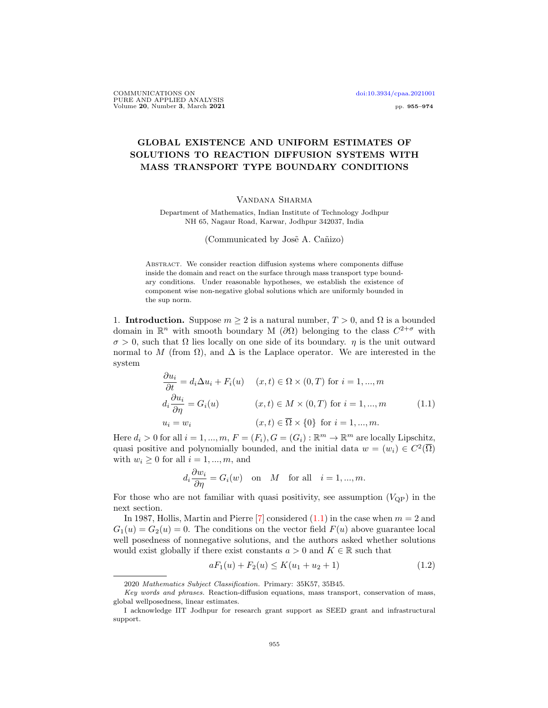# GLOBAL EXISTENCE AND UNIFORM ESTIMATES OF SOLUTIONS TO REACTION DIFFUSION SYSTEMS WITH MASS TRANSPORT TYPE BOUNDARY CONDITIONS

### Vandana Sharma

Department of Mathematics, Indian Institute of Technology Jodhpur NH 65, Nagaur Road, Karwar, Jodhpur 342037, India

(Communicated by José A. Cañizo)

ABSTRACT. We consider reaction diffusion systems where components diffuse inside the domain and react on the surface through mass transport type boundary conditions. Under reasonable hypotheses, we establish the existence of component wise non-negative global solutions which are uniformly bounded in the sup norm.

1. **Introduction.** Suppose  $m \geq 2$  is a natural number,  $T > 0$ , and  $\Omega$  is a bounded domain in  $\mathbb{R}^n$  with smooth boundary M ( $\partial\Omega$ ) belonging to the class  $C^{2+\sigma}$  with  $\sigma > 0$ , such that  $\Omega$  lies locally on one side of its boundary.  $\eta$  is the unit outward normal to M (from  $\Omega$ ), and  $\Delta$  is the Laplace operator. We are interested in the system

$$
\frac{\partial u_i}{\partial t} = d_i \Delta u_i + F_i(u) \quad (x, t) \in \Omega \times (0, T) \text{ for } i = 1, ..., m
$$
  

$$
d_i \frac{\partial u_i}{\partial \eta} = G_i(u) \quad (x, t) \in M \times (0, T) \text{ for } i = 1, ..., m
$$
  

$$
u_i = w_i \quad (x, t) \in \overline{\Omega} \times \{0\} \text{ for } i = 1, ..., m.
$$
 (1.1)

Here  $d_i > 0$  for all  $i = 1, ..., m$ ,  $F = (F_i)$ ,  $G = (G_i) : \mathbb{R}^m \to \mathbb{R}^m$  are locally Lipschitz, quasi positive and polynomially bounded, and the initial data  $w = (w_i) \in C^2(\overline{\Omega})$ with  $w_i \geq 0$  for all  $i = 1, ..., m$ , and

$$
d_i \frac{\partial w_i}{\partial \eta} = G_i(w)
$$
 on *M* for all  $i = 1, ..., m$ .

For those who are not familiar with quasi positivity, see assumption  $(V_{\text{QP}})$  in the next section.

In 1987, Hollis, Martin and Pierre [7] considered  $(1.1)$  in the case when  $m = 2$  and  $G_1(u) = G_2(u) = 0$ . The conditions on the vector field  $F(u)$  above guarantee local well posedness of nonnegative solutions, and the authors asked whether solutions would exist globally if there exist constants  $a > 0$  and  $K \in \mathbb{R}$  such that

$$
aF_1(u) + F_2(u) \le K(u_1 + u_2 + 1) \tag{1.2}
$$

<sup>2020</sup> Mathematics Subject Classification. Primary: 35K57, 35B45.

Key words and phrases. Reaction-diffusion equations, mass transport, conservation of mass, global wellposedness, linear estimates.

I acknowledge IIT Jodhpur for research grant support as SEED grant and infrastructural support.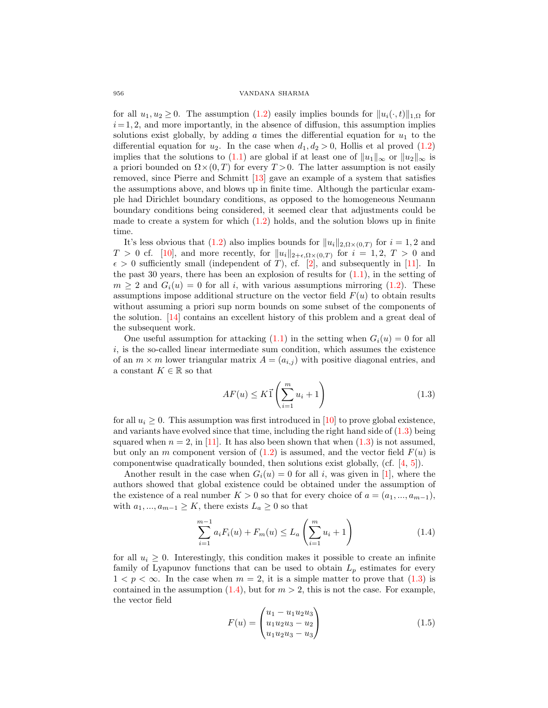for all  $u_1, u_2 \geq 0$ . The assumption (1.2) easily implies bounds for  $||u_i(\cdot, t)||_{1,\Omega}$  for  $i=1, 2$ , and more importantly, in the absence of diffusion, this assumption implies solutions exist globally, by adding a times the differential equation for  $u_1$  to the differential equation for  $u_2$ . In the case when  $d_1, d_2 > 0$ , Hollis et al proved (1.2) implies that the solutions to (1.1) are global if at least one of  $||u_1||_{\infty}$  or  $||u_2||_{\infty}$  is a priori bounded on  $\Omega \times (0,T)$  for every  $T > 0$ . The latter assumption is not easily removed, since Pierre and Schmitt [13] gave an example of a system that satisfies the assumptions above, and blows up in finite time. Although the particular example had Dirichlet boundary conditions, as opposed to the homogeneous Neumann boundary conditions being considered, it seemed clear that adjustments could be made to create a system for which  $(1.2)$  holds, and the solution blows up in finite time.

It's less obvious that (1.2) also implies bounds for  $||u_i||_{2,\Omega\times(0,T)}$  for  $i=1,2$  and  $T > 0$  cf. [10], and more recently, for  $||u_i||_{2+\epsilon,\Omega\times(0,T)}$  for  $i = 1, 2, T > 0$  and  $\epsilon > 0$  sufficiently small (independent of T), cf. [2], and subsequently in [11]. In the past 30 years, there has been an explosion of results for  $(1.1)$ , in the setting of  $m \geq 2$  and  $G_i(u) = 0$  for all i, with various assumptions mirroring (1.2). These assumptions impose additional structure on the vector field  $F(u)$  to obtain results without assuming a priori sup norm bounds on some subset of the components of the solution. [14] contains an excellent history of this problem and a great deal of the subsequent work.

One useful assumption for attacking  $(1.1)$  in the setting when  $G_i(u) = 0$  for all  $i$ , is the so-called linear intermediate sum condition, which assumes the existence of an  $m \times m$  lower triangular matrix  $A = (a_{i,j})$  with positive diagonal entries, and a constant  $K \in \mathbb{R}$  so that

$$
AF(u) \le K\vec{1}\left(\sum_{i=1}^{m} u_i + 1\right) \tag{1.3}
$$

for all  $u_i \geq 0$ . This assumption was first introduced in [10] to prove global existence, and variants have evolved since that time, including the right hand side of (1.3) being squared when  $n = 2$ , in [11]. It has also been shown that when  $(1.3)$  is not assumed, but only an m component version of  $(1.2)$  is assumed, and the vector field  $F(u)$  is componentwise quadratically bounded, then solutions exist globally, (cf. [4, 5]).

Another result in the case when  $G_i(u) = 0$  for all i, was given in [1], where the authors showed that global existence could be obtained under the assumption of the existence of a real number  $K > 0$  so that for every choice of  $a = (a_1, ..., a_{m-1}),$ with  $a_1, ..., a_{m-1} \geq K$ , there exists  $L_a \geq 0$  so that

$$
\sum_{i=1}^{m-1} a_i F_i(u) + F_m(u) \le L_a \left(\sum_{i=1}^m u_i + 1\right)
$$
\n(1.4)

for all  $u_i \geq 0$ . Interestingly, this condition makes it possible to create an infinite family of Lyapunov functions that can be used to obtain  $L_p$  estimates for every  $1 < p < \infty$ . In the case when  $m = 2$ , it is a simple matter to prove that  $(1.3)$  is contained in the assumption  $(1.4)$ , but for  $m > 2$ , this is not the case. For example, the vector field

$$
F(u) = \begin{pmatrix} u_1 - u_1 u_2 u_3 \\ u_1 u_2 u_3 - u_2 \\ u_1 u_2 u_3 - u_3 \end{pmatrix}
$$
 (1.5)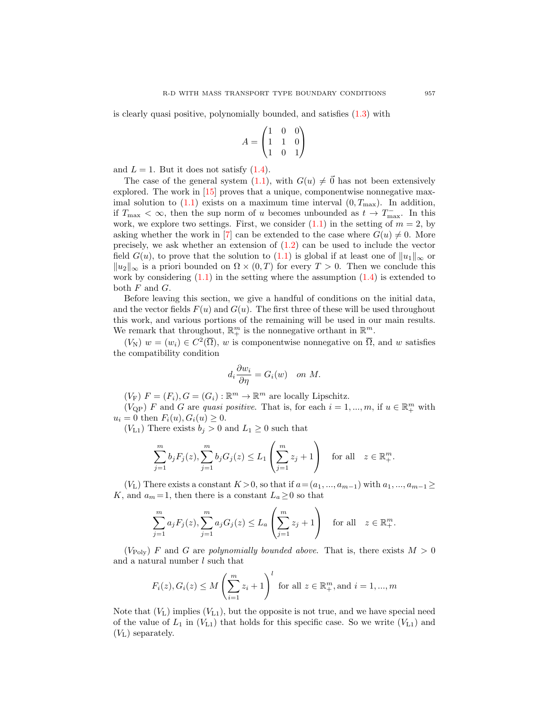is clearly quasi positive, polynomially bounded, and satisfies (1.3) with

$$
A = \begin{pmatrix} 1 & 0 & 0 \\ 1 & 1 & 0 \\ 1 & 0 & 1 \end{pmatrix}
$$

and  $L = 1$ . But it does not satisfy  $(1.4)$ .

The case of the general system  $(1.1)$ , with  $G(u) \neq \vec{0}$  has not been extensively explored. The work in [15] proves that a unique, componentwise nonnegative maximal solution to  $(1.1)$  exists on a maximum time interval  $(0, T<sub>max</sub>)$ . In addition, if  $T_{\text{max}} < \infty$ , then the sup norm of u becomes unbounded as  $t \to T_{\text{max}}^-$ . In this work, we explore two settings. First, we consider  $(1.1)$  in the setting of  $m = 2$ , by asking whether the work in [7] can be extended to the case where  $G(u) \neq 0$ . More precisely, we ask whether an extension of  $(1.2)$  can be used to include the vector field  $G(u)$ , to prove that the solution to (1.1) is global if at least one of  $||u_1||_{\infty}$  or  $||u_2||_{\infty}$  is a priori bounded on  $\Omega \times (0,T)$  for every  $T > 0$ . Then we conclude this work by considering  $(1.1)$  in the setting where the assumption  $(1.4)$  is extended to both  $F$  and  $G$ .

Before leaving this section, we give a handful of conditions on the initial data, and the vector fields  $F(u)$  and  $G(u)$ . The first three of these will be used throughout this work, and various portions of the remaining will be used in our main results. We remark that throughout,  $\mathbb{R}^m_+$  is the nonnegative orthant in  $\mathbb{R}^m$ .

 $(V_N)$   $w = (w_i) \in C^2(\overline{\Omega}), w$  is componentwise nonnegative on  $\overline{\Omega}$ , and w satisfies the compatibility condition

$$
d_i \frac{\partial w_i}{\partial \eta} = G_i(w) \quad on \ M.
$$

 $(V_{\text{F}})$   $F = (F_i), G = (G_i) : \mathbb{R}^m \to \mathbb{R}^m$  are locally Lipschitz.

 $(V_{\text{QP}})$  F and G are quasi positive. That is, for each  $i = 1, ..., m$ , if  $u \in \mathbb{R}^m_+$  with  $u_i = 0$  then  $F_i(u), G_i(u) \ge 0$ .

 $(V<sub>L1</sub>)$  There exists  $b<sub>i</sub> > 0$  and  $L<sub>1</sub> \ge 0$  such that

 $\frac{2}{i}$ 

$$
\sum_{j=1}^{m} b_j F_j(z), \sum_{j=1}^{m} b_j G_j(z) \le L_1 \left( \sum_{j=1}^{m} z_j + 1 \right) \quad \text{for all} \quad z \in \mathbb{R}_+^m.
$$

(V<sub>L</sub>) There exists a constant  $K > 0$ , so that if  $a = (a_1, ..., a_{m-1})$  with  $a_1, ..., a_{m-1} \geq$ K, and  $a_m = 1$ , then there is a constant  $L_a \geq 0$  so that

$$
\sum_{j=1}^{m} a_j F_j(z), \sum_{j=1}^{m} a_j G_j(z) \le L_a \left( \sum_{j=1}^{m} z_j + 1 \right) \quad \text{for all} \quad z \in \mathbb{R}_+^m.
$$

 $(V_{\text{Poly}})$  F and G are polynomially bounded above. That is, there exists  $M > 0$ and a natural number  $l$  such that

$$
F_i(z), G_i(z) \le M \left(\sum_{i=1}^m z_i + 1\right)^l
$$
 for all  $z \in \mathbb{R}_+^m$ , and  $i = 1, ..., m$ 

Note that  $(V_L)$  implies  $(V_{L1})$ , but the opposite is not true, and we have special need of the value of  $L_1$  in  $(V_{L1})$  that holds for this specific case. So we write  $(V_{L1})$  and  $(V_L)$  separately.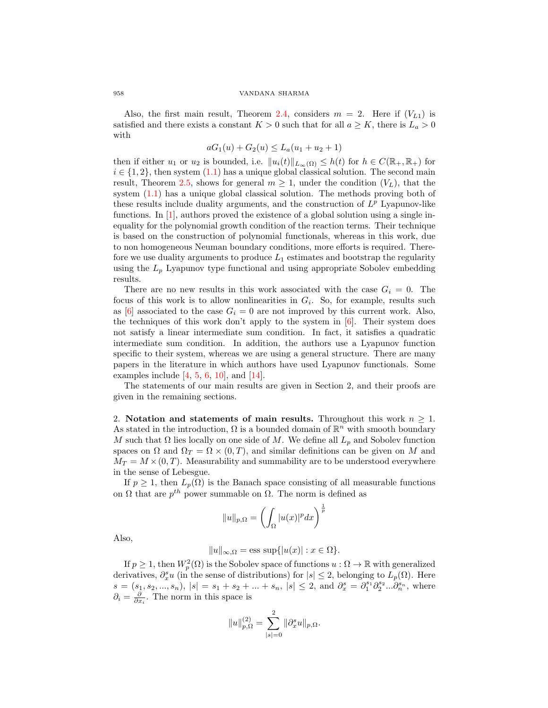Also, the first main result, Theorem 2.4, considers  $m = 2$ . Here if  $(V_{L1})$  is satisfied and there exists a constant  $K > 0$  such that for all  $a \geq K$ , there is  $L_a > 0$ with

$$
aG_1(u) + G_2(u) \le L_a(u_1 + u_2 + 1)
$$

then if either  $u_1$  or  $u_2$  is bounded, i.e.  $||u_i(t)||_{L_\infty(\Omega)} \leq h(t)$  for  $h \in C(\mathbb{R}_+, \mathbb{R}_+)$  for  $i \in \{1, 2\}$ , then system  $(1.1)$  has a unique global classical solution. The second main result, Theorem 2.5, shows for general  $m \geq 1$ , under the condition  $(V_L)$ , that the system  $(1.1)$  has a unique global classical solution. The methods proving both of these results include duality arguments, and the construction of  $L^p$  Lyapunov-like functions. In [1], authors proved the existence of a global solution using a single inequality for the polynomial growth condition of the reaction terms. Their technique is based on the construction of polynomial functionals, whereas in this work, due to non homogeneous Neuman boundary conditions, more efforts is required. Therefore we use duality arguments to produce  $L_1$  estimates and bootstrap the regularity using the  $L_p$  Lyapunov type functional and using appropriate Sobolev embedding results.

There are no new results in this work associated with the case  $G_i = 0$ . The focus of this work is to allow nonlinearities in  $G_i$ . So, for example, results such as [6] associated to the case  $G_i = 0$  are not improved by this current work. Also, the techniques of this work don't apply to the system in  $[6]$ . Their system does not satisfy a linear intermediate sum condition. In fact, it satisfies a quadratic intermediate sum condition. In addition, the authors use a Lyapunov function specific to their system, whereas we are using a general structure. There are many papers in the literature in which authors have used Lyapunov functionals. Some examples include  $[4, 5, 6, 10]$ , and  $[14]$ .

The statements of our main results are given in Section 2, and their proofs are given in the remaining sections.

2. Notation and statements of main results. Throughout this work  $n \geq 1$ . As stated in the introduction,  $\Omega$  is a bounded domain of  $\mathbb{R}^n$  with smooth boundary M such that  $\Omega$  lies locally on one side of M. We define all  $L_p$  and Sobolev function spaces on  $\Omega$  and  $\Omega_T = \Omega \times (0,T)$ , and similar definitions can be given on M and  $M_T = M \times (0, T)$ . Measurability and summability are to be understood everywhere in the sense of Lebesgue.

If  $p \geq 1$ , then  $L_p(\Omega)$  is the Banach space consisting of all measurable functions on  $\Omega$  that are  $p^{th}$  power summable on  $\Omega$ . The norm is defined as

$$
||u||_{p,\Omega} = \left(\int_{\Omega} |u(x)|^p dx\right)^{\frac{1}{p}}
$$

Also,

$$
||u||_{\infty,\Omega} = \text{ess sup}\{|u(x)| : x \in \Omega\}.
$$

If  $p \geq 1$ , then  $W_p^2(\Omega)$  is the Sobolev space of functions  $u : \Omega \to \mathbb{R}$  with generalized derivatives,  $\partial_x^s u$  (in the sense of distributions) for  $|s| \leq 2$ , belonging to  $L_p(\Omega)$ . Here  $s = (s_1, s_2, ..., s_n), |s| = s_1 + s_2 + ... + s_n, |s| \leq 2$ , and  $\partial_x^s = \partial_1^{s_1} \partial_2^{s_2} ... \partial_n^{s_n}$ , where  $\partial_i = \frac{\partial}{\partial x_i}$ . The norm in this space is

$$
||u||_{p,\Omega}^{(2)} = \sum_{|s|=0}^{2} ||\partial_x^s u||_{p,\Omega}.
$$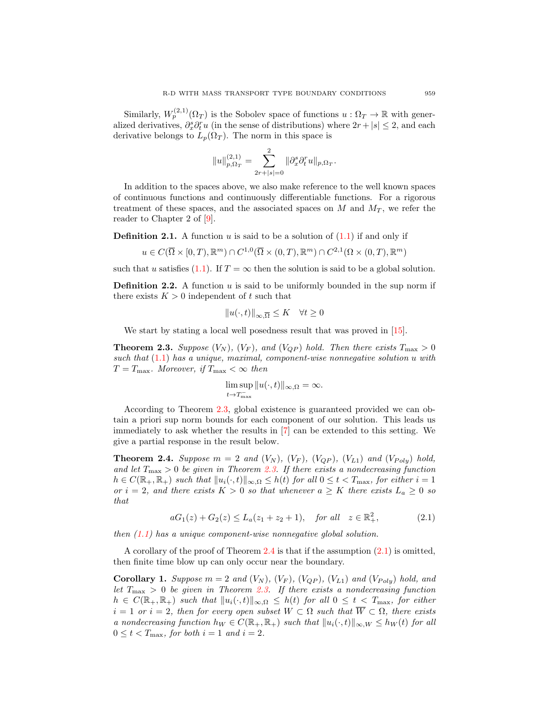Similarly,  $W_p^{(2,1)}(\Omega_T)$  is the Sobolev space of functions  $u : \Omega_T \to \mathbb{R}$  with generalized derivatives,  $\partial_x^s \partial_t^r u$  (in the sense of distributions) where  $2r + |s| \leq 2$ , and each derivative belongs to  $L_p(\Omega_T)$ . The norm in this space is

$$
||u||_{p,\Omega_T}^{(2,1)} = \sum_{2r+|s|=0}^2 ||\partial_x^s \partial_t^r u||_{p,\Omega_T}.
$$

In addition to the spaces above, we also make reference to the well known spaces of continuous functions and continuously differentiable functions. For a rigorous treatment of these spaces, and the associated spaces on  $M$  and  $M_T$ , we refer the reader to Chapter 2 of [9].

**Definition 2.1.** A function u is said to be a solution of  $(1.1)$  if and only if

$$
u \in C(\overline{\Omega} \times [0,T), \mathbb{R}^m) \cap C^{1,0}(\overline{\Omega} \times (0,T), \mathbb{R}^m) \cap C^{2,1}(\Omega \times (0,T), \mathbb{R}^m)
$$

such that u satisfies (1.1). If  $T = \infty$  then the solution is said to be a global solution.

**Definition 2.2.** A function  $u$  is said to be uniformly bounded in the sup norm if there exists  $K > 0$  independent of t such that

$$
||u(\cdot,t)||_{\infty,\overline{\Omega}} \leq K \quad \forall t \geq 0
$$

We start by stating a local well posedness result that was proved in [15].

**Theorem 2.3.** Suppose  $(V_N)$ ,  $(V_F)$ , and  $(V_{QP})$  hold. Then there exists  $T_{\text{max}} > 0$ such that  $(1.1)$  has a unique, maximal, component-wise nonnegative solution u with  $T = T_{\text{max}}$ . Moreover, if  $T_{\text{max}} < \infty$  then

$$
\limsup_{t \to T_{\text{max}}^-} ||u(\cdot, t)||_{\infty, \Omega} = \infty.
$$

According to Theorem 2.3, global existence is guaranteed provided we can obtain a priori sup norm bounds for each component of our solution. This leads us immediately to ask whether the results in [7] can be extended to this setting. We give a partial response in the result below.

**Theorem 2.4.** Suppose  $m = 2$  and  $(V_N)$ ,  $(V_F)$ ,  $(V_{QP})$ ,  $(V_{L1})$  and  $(V_{Poly})$  hold, and let  $T_{\text{max}} > 0$  be given in Theorem 2.3. If there exists a nondecreasing function  $h \in C(\mathbb{R}_+, \mathbb{R}_+)$  such that  $||u_i(\cdot, t)||_{\infty, \Omega} \leq h(t)$  for all  $0 \leq t < T_{\text{max}}$ , for either  $i = 1$ or  $i = 2$ , and there exists  $K > 0$  so that whenever  $a \geq K$  there exists  $L_a \geq 0$  so that

$$
aG_1(z) + G_2(z) \le L_a(z_1 + z_2 + 1), \quad \text{for all} \quad z \in \mathbb{R}^2_+, \tag{2.1}
$$

then  $(1.1)$  has a unique component-wise nonnegative global solution.

A corollary of the proof of Theorem 2.4 is that if the assumption (2.1) is omitted, then finite time blow up can only occur near the boundary.

**Corollary 1.** Suppose  $m = 2$  and  $(V_N)$ ,  $(V_F)$ ,  $(V_{QP})$ ,  $(V_{L1})$  and  $(V_{Poly})$  hold, and let  $T_{\text{max}} > 0$  be given in Theorem 2.3. If there exists a nondecreasing function  $h \in C(\mathbb{R}_+, \mathbb{R}_+)$  such that  $||u_i(\cdot, t)||_{\infty,\Omega} \leq h(t)$  for all  $0 \leq t < T_{\text{max}}$ , for either  $i = 1$  or  $i = 2$ , then for every open subset  $W \subset \Omega$  such that  $\overline{W} \subset \Omega$ , there exists a nondecreasing function  $h_W \in C(\mathbb{R}_+, \mathbb{R}_+)$  such that  $||u_i(\cdot, t)||_{\infty, W} \leq h_W(t)$  for all  $0 \leq t < T_{\text{max}}$ , for both  $i = 1$  and  $i = 2$ .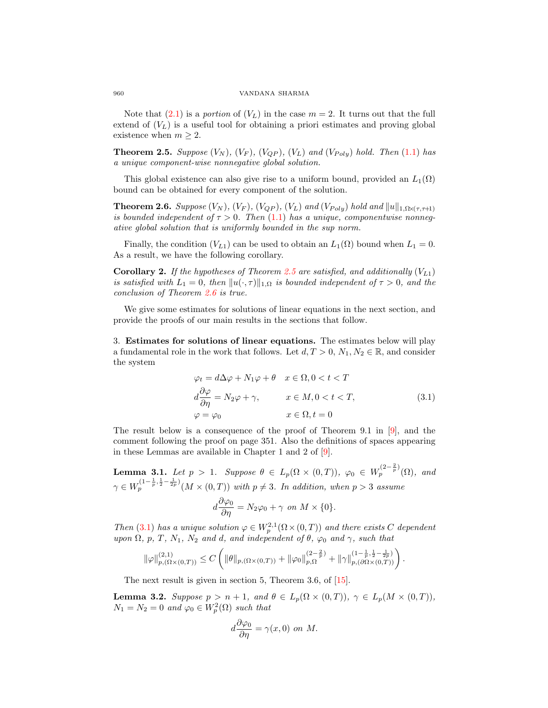Note that  $(2.1)$  is a *portion* of  $(V_L)$  in the case  $m = 2$ . It turns out that the full extend of  $(V_L)$  is a useful tool for obtaining a priori estimates and proving global existence when  $m \geq 2$ .

**Theorem 2.5.** Suppose  $(V_N)$ ,  $(V_F)$ ,  $(V_{QP})$ ,  $(V_L)$  and  $(V_{Poly})$  hold. Then (1.1) has a unique component-wise nonnegative global solution.

This global existence can also give rise to a uniform bound, provided an  $L_1(\Omega)$ bound can be obtained for every component of the solution.

**Theorem 2.6.** Suppose  $(V_N)$ ,  $(V_F)$ ,  $(V_{QP})$ ,  $(V_L)$  and  $(V_{Poly})$  hold and  $||u||_{1,\Omega\times(\tau,\tau+1)}$ is bounded independent of  $\tau > 0$ . Then (1.1) has a unique, componentwise nonnegative global solution that is uniformly bounded in the sup norm.

Finally, the condition  $(V_{L1})$  can be used to obtain an  $L_1(\Omega)$  bound when  $L_1 = 0$ . As a result, we have the following corollary.

**Corollary 2.** If the hypotheses of Theorem 2.5 are satisfied, and additionally  $(V_{L1})$ is satisfied with  $L_1 = 0$ , then  $||u(\cdot, \tau)||_{1,\Omega}$  is bounded independent of  $\tau > 0$ , and the conclusion of Theorem 2.6 is true.

We give some estimates for solutions of linear equations in the next section, and provide the proofs of our main results in the sections that follow.

3. Estimates for solutions of linear equations. The estimates below will play a fundamental role in the work that follows. Let  $d, T > 0, N_1, N_2 \in \mathbb{R}$ , and consider the system

$$
\varphi_t = d\Delta\varphi + N_1\varphi + \theta \quad x \in \Omega, 0 < t < T
$$
  
\n
$$
d\frac{\partial\varphi}{\partial\eta} = N_2\varphi + \gamma, \qquad x \in M, 0 < t < T,
$$
  
\n
$$
\varphi = \varphi_0 \qquad x \in \Omega, t = 0
$$
\n(3.1)

The result below is a consequence of the proof of Theorem 9.1 in [9], and the comment following the proof on page 351. Also the definitions of spaces appearing in these Lemmas are available in Chapter 1 and 2 of [9].

**Lemma 3.1.** Let  $p > 1$ . Suppose  $\theta \in L_p(\Omega \times (0,T))$ ,  $\varphi_0 \in W_p^{(2-\frac{2}{p})}(\Omega)$ , and  $\gamma \in W_p^{(1-\frac{1}{p},\frac{1}{2}-\frac{1}{2p})}(M \times (0,T))$  with  $p \neq 3$ . In addition, when  $p > 3$  assume  $d\frac{\partial \varphi_0}{\partial \eta} = N_2 \varphi_0 + \gamma \text{ on } M \times \{0\}.$ 

Then (3.1) has a unique solution  $\varphi \in W_p^{2,1}(\Omega \times (0,T))$  and there exists C dependent upon  $\Omega$ , p, T, N<sub>1</sub>, N<sub>2</sub> and d, and independent of  $\theta$ ,  $\varphi_0$  and  $\gamma$ , such that

$$
\|\varphi\|_{p,(\Omega\times(0,T))}^{(2,1)} \leq C \left( \|\theta\|_{p,(\Omega\times(0,T))} + \|\varphi_0\|_{p,\Omega}^{(2-\frac{2}{p})} + \|\gamma\|_{p,(\partial\Omega\times(0,T))}^{(1-\frac{1}{p},\frac{1}{2}-\frac{1}{2p})} \right).
$$

The next result is given in section 5, Theorem 3.6, of [15].

**Lemma 3.2.** Suppose  $p > n + 1$ , and  $\theta \in L_p(\Omega \times (0,T))$ ,  $\gamma \in L_p(M \times (0,T))$ ,  $N_1 = N_2 = 0$  and  $\varphi_0 \in W_p^2(\Omega)$  such that

$$
d\frac{\partial\varphi_0}{\partial\eta} = \gamma(x,0) \text{ on } M.
$$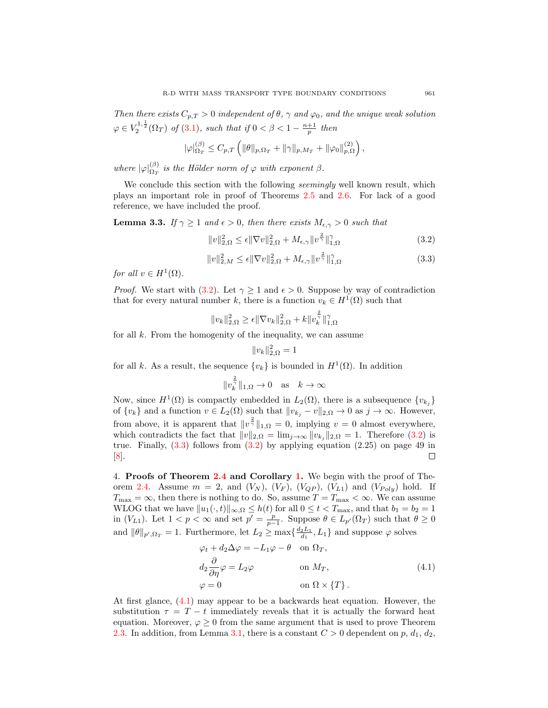Then there exists  $C_{p,T} > 0$  independent of  $\theta$ ,  $\gamma$  and  $\varphi_0$ , and the unique weak solution  $\varphi \in V_2^{1,\frac{1}{2}}(\Omega_T)$  of (3.1), such that if  $0 < \beta < 1 - \frac{n+1}{p}$  then

$$
|\varphi|_{\Omega_T}^{(\beta)} \leq C_{p,T} \left( \|\theta\|_{p,\Omega_T} + \|\gamma\|_{p,M_T} + \|\varphi_0\|_{p,\Omega}^{(2)} \right),
$$

where  $|\varphi|_{\Omega_T}^{(\beta)}$  $\Omega_T^{(p)}$  is the Hölder norm of  $\varphi$  with exponent  $\beta$ .

We conclude this section with the following *seemingly* well known result, which plays an important role in proof of Theorems 2.5 and 2.6. For lack of a good reference, we have included the proof.

**Lemma 3.3.** If  $\gamma \geq 1$  and  $\epsilon > 0$ , then there exists  $M_{\epsilon,\gamma} > 0$  such that

$$
||v||_{2,\Omega}^2 \le \epsilon ||\nabla v||_{2,\Omega}^2 + M_{\epsilon,\gamma} ||v^{\frac{2}{\gamma}}||_{1,\Omega}^{\gamma}
$$
\n(3.2)

$$
||v||_{2,M}^2 \le \epsilon ||\nabla v||_{2,\Omega}^2 + M_{\epsilon,\gamma} ||v^{\frac{2}{\gamma}}||_{1,\Omega}^{\gamma}
$$
\n(3.3)

for all  $v \in H^1(\Omega)$ .

*Proof.* We start with (3.2). Let  $\gamma \geq 1$  and  $\epsilon > 0$ . Suppose by way of contradiction that for every natural number k, there is a function  $v_k \in H^1(\Omega)$  such that

$$
||v_k||_{2,\Omega}^2 \ge \epsilon ||\nabla v_k||_{2,\Omega}^2 + k ||v_k^{\frac{2}{\gamma}}||_{1,\Omega}^{\gamma}
$$

for all  $k$ . From the homogenity of the inequality, we can assume

$$
||v_k||_{2,\Omega}^2 = 1
$$

for all k. As a result, the sequence  $\{v_k\}$  is bounded in  $H^1(\Omega)$ . In addition

$$
\|v_k^{\frac{2}{\gamma}}\|_{1,\Omega} \to 0 \quad \text{as} \quad k \to \infty
$$

Now, since  $H^1(\Omega)$  is compactly embedded in  $L_2(\Omega)$ , there is a subsequence  $\{v_{k_j}\}$ of  $\{v_k\}$  and a function  $v \in L_2(\Omega)$  such that  $||v_{k_j} - v||_{2,\Omega} \to 0$  as  $j \to \infty$ . However, from above, it is apparent that  $||v^{\frac{2}{\gamma}}||_{1,\Omega} = 0$ , implying  $v = 0$  almost everywhere, which contradicts the fact that  $||v||_{2,\Omega} = \lim_{j \to \infty} ||v_{k_j}||_{2,\Omega} = 1$ . Therefore (3.2) is true. Finally,  $(3.3)$  follows from  $(3.2)$  by applying equation  $(2.25)$  on page 49 in [8].  $\Box$ 

4. Proofs of Theorem 2.4 and Corollary 1. We begin with the proof of Theorem 2.4. Assume  $m = 2$ , and  $(V_N)$ ,  $(V_F)$ ,  $(V_{QP})$ ,  $(V_{LI})$  and  $(V_{Poly})$  hold. If  $T_{\text{max}} = \infty$ , then there is nothing to do. So, assume  $T = T_{\text{max}} < \infty$ . We can assume WLOG that we have  $||u_1(\cdot, t)||_{\infty,\Omega} \leq h(t)$  for all  $0 \leq t < T_{\text{max}}$ , and that  $b_1 = b_2 = 1$ in  $(V_{L1})$ . Let  $1 < p < \infty$  and set  $p' = \frac{p}{p-1}$ . Suppose  $\theta \in L_{p'}(\Omega_T)$  such that  $\theta \ge 0$ and  $\|\theta\|_{p',\Omega_T} = 1$ . Furthermore, let  $L_2 \ge \max\{\frac{d_2L_1}{d_1}, L_1\}$  and suppose  $\varphi$  solves

$$
\varphi_t + d_2 \Delta \varphi = -L_1 \varphi - \theta \quad \text{on } \Omega_T,
$$
  
\n
$$
d_2 \frac{\partial}{\partial \eta} \varphi = L_2 \varphi \qquad \text{on } M_T,
$$
  
\n
$$
\varphi = 0 \qquad \text{on } \Omega \times \{T\}.
$$
\n(4.1)

At first glance, (4.1) may appear to be a backwards heat equation. However, the substitution  $\tau = T - t$  immediately reveals that it is actually the forward heat equation. Moreover,  $\varphi \geq 0$  from the same argument that is used to prove Theorem 2.3. In addition, from Lemma 3.1, there is a constant  $C > 0$  dependent on p,  $d_1, d_2$ ,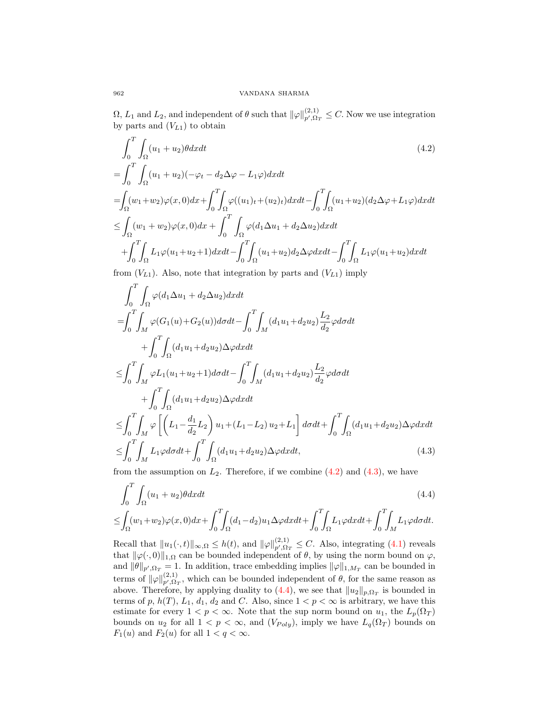$\Omega, L_1$  and  $L_2$ , and independent of  $\theta$  such that  $\|\varphi\|_{p',\Omega_T}^{(2,1)} \leq C$ . Now we use integration by parts and  $(V_{L1})$  to obtain

$$
\int_{0}^{T} \int_{\Omega} (u_1 + u_2) \theta dx dt
$$
\n
$$
= \int_{0}^{T} \int_{\Omega} (u_1 + u_2)(-\varphi_t - d_2 \Delta \varphi - L_1 \varphi) dx dt
$$
\n
$$
= \int_{\Omega} (w_1 + w_2) \varphi(x, 0) dx + \int_{0}^{T} \int_{\Omega} \varphi((u_1)_t + (u_2)_t) dx dt - \int_{0}^{T} \int_{\Omega} (u_1 + u_2)(d_2 \Delta \varphi + L_1 \varphi) dx dt
$$
\n
$$
\leq \int_{\Omega} (w_1 + w_2) \varphi(x, 0) dx + \int_{0}^{T} \int_{\Omega} \varphi(d_1 \Delta u_1 + d_2 \Delta u_2) dx dt
$$
\n
$$
+ \int_{0}^{T} \int_{\Omega} L_1 \varphi(u_1 + u_2 + 1) dx dt - \int_{0}^{T} \int_{\Omega} (u_1 + u_2) d_2 \Delta \varphi dx dt - \int_{0}^{T} \int_{\Omega} L_1 \varphi(u_1 + u_2) dx dt
$$

from  $(V_{L1})$ . Also, note that integration by parts and  $(V_{L1})$  imply

$$
\int_{0}^{T} \int_{\Omega} \varphi(d_{1} \Delta u_{1} + d_{2} \Delta u_{2}) dx dt \n= \int_{0}^{T} \int_{M} \varphi(G_{1}(u) + G_{2}(u)) d\sigma dt - \int_{0}^{T} \int_{M} (d_{1} u_{1} + d_{2} u_{2}) \frac{L_{2}}{d_{2}} \varphi d\sigma dt \n+ \int_{0}^{T} \int_{\Omega} (d_{1} u_{1} + d_{2} u_{2}) \Delta \varphi dx dt \n\leq \int_{0}^{T} \int_{M} \varphi L_{1}(u_{1} + u_{2} + 1) d\sigma dt - \int_{0}^{T} \int_{M} (d_{1} u_{1} + d_{2} u_{2}) \frac{L_{2}}{d_{2}} \varphi d\sigma dt \n+ \int_{0}^{T} \int_{\Omega} (d_{1} u_{1} + d_{2} u_{2}) \Delta \varphi dx dt \n\leq \int_{0}^{T} \int_{M} \varphi \left[ \left( L_{1} - \frac{d_{1}}{d_{2}} L_{2} \right) u_{1} + (L_{1} - L_{2}) u_{2} + L_{1} \right] d\sigma dt + \int_{0}^{T} \int_{\Omega} (d_{1} u_{1} + d_{2} u_{2}) \Delta \varphi dx dt \n\leq \int_{0}^{T} \int_{M} L_{1} \varphi d\sigma dt + \int_{0}^{T} \int_{\Omega} (d_{1} u_{1} + d_{2} u_{2}) \Delta \varphi dx dt, \tag{4.3}
$$

from the assumption on  $L_2$ . Therefore, if we combine  $(4.2)$  and  $(4.3)$ , we have

$$
\int_0^T \int_{\Omega} (u_1 + u_2) \theta dx dt \tag{4.4}
$$

$$
\leq \int_{\Omega}(w_1+w_2)\varphi(x,0)dx + \int_0^T\!\!\!\int_{\Omega}(d_1-d_2)u_1\Delta\varphi dxdt + \int_0^T\!\!\!\int_{\Omega}L_1\varphi dxdt + \int_0^T\!\!\!\int_{M}L_1\varphi d\sigma dt.
$$

Recall that  $||u_1(\cdot, t)||_{\infty, \Omega} \le h(t)$ , and  $||\varphi||_{p', \Omega_T}^{(2,1)} \le C$ . Also, integrating (4.1) reveals that  $\|\varphi(\cdot, 0)\|_{1,\Omega}$  can be bounded independent of  $\theta$ , by using the norm bound on  $\varphi$ , and  $\|\theta\|_{p',\Omega_T} = 1$ . In addition, trace embedding implies  $\|\varphi\|_{1,M_T}$  can be bounded in terms of  $\|\varphi\|_{p',\Omega_T}^{(2,1)}$ , which can be bounded independent of  $\theta$ , for the same reason as above. Therefore, by applying duality to  $(4.4)$ , we see that  $||u_2||_{p,\Omega_T}$  is bounded in terms of p,  $h(T)$ ,  $L_1$ ,  $d_1$ ,  $d_2$  and C. Also, since  $1 < p < \infty$  is arbitrary, we have this estimate for every  $1 < p < \infty$ . Note that the sup norm bound on  $u_1$ , the  $L_p(\Omega_T)$ bounds on  $u_2$  for all  $1 < p < \infty$ , and  $(V_{Poly})$ , imply we have  $L_q(\Omega_T)$  bounds on  $F_1(u)$  and  $F_2(u)$  for all  $1 < q < \infty$ .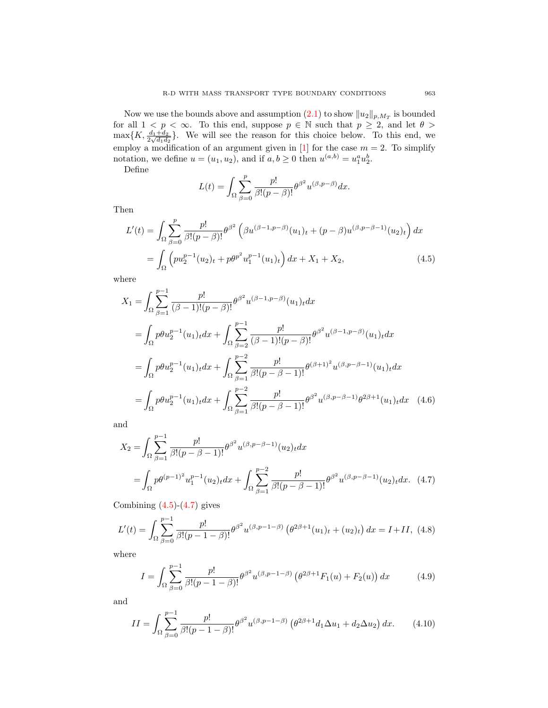Now we use the bounds above and assumption  $(2.1)$  to show  $||u_2||_{p,M_T}$  is bounded for all  $1 \leq p \leq \infty$ . To this end, suppose  $p \in \mathbb{N}$  such that  $p \geq 2$ , and let  $\theta >$  $\max\{K, \frac{d_1+d_2}{2\sqrt{d_1d_2}}\}.$  We will see the reason for this choice below. To this end, we employ a modification of an argument given in [1] for the case  $m = 2$ . To simplify notation, we define  $u = (u_1, u_2)$ , and if  $a, b \ge 0$  then  $u^{(a,b)} = u_1^a u_2^b$ .

Define

$$
L(t) = \int_{\Omega} \sum_{\beta=0}^{p} \frac{p!}{\beta!(p-\beta)!} {\theta^{\beta}}^2 u^{(\beta, p-\beta)} dx.
$$

Then

$$
L'(t) = \int_{\Omega} \sum_{\beta=0}^{p} \frac{p!}{\beta!(p-\beta)!} \theta^{\beta^2} \left(\beta u^{(\beta-1,p-\beta)}(u_1)_t + (p-\beta) u^{(\beta,p-\beta-1)}(u_2)_t\right) dx
$$
  
= 
$$
\int_{\Omega} \left(p u_2^{p-1}(u_2)_t + p \theta^{p^2} u_1^{p-1}(u_1)_t\right) dx + X_1 + X_2,
$$
 (4.5)

where

$$
X_{1} = \int_{\Omega} \sum_{\beta=1}^{p-1} \frac{p!}{(\beta-1)!(p-\beta)!} \theta^{\beta^{2}} u^{(\beta-1,p-\beta)} (u_{1})_{t} dx
$$
  
\n
$$
= \int_{\Omega} p \theta u_{2}^{p-1} (u_{1})_{t} dx + \int_{\Omega} \sum_{\beta=2}^{p-1} \frac{p!}{(\beta-1)!(p-\beta)!} \theta^{\beta^{2}} u^{(\beta-1,p-\beta)} (u_{1})_{t} dx
$$
  
\n
$$
= \int_{\Omega} p \theta u_{2}^{p-1} (u_{1})_{t} dx + \int_{\Omega} \sum_{\beta=1}^{p-2} \frac{p!}{\beta!(p-\beta-1)!} \theta^{(\beta+1)^{2}} u^{(\beta,p-\beta-1)} (u_{1})_{t} dx
$$
  
\n
$$
= \int_{\Omega} p \theta u_{2}^{p-1} (u_{1})_{t} dx + \int_{\Omega} \sum_{\beta=1}^{p-2} \frac{p!}{\beta!(p-\beta-1)!} \theta^{\beta^{2}} u^{(\beta,p-\beta-1)} \theta^{2\beta+1} (u_{1})_{t} dx \quad (4.6)
$$

and

$$
X_2 = \int_{\Omega} \sum_{\beta=1}^{p-1} \frac{p!}{\beta!(p-\beta-1)!} \theta^{\beta^2} u^{(\beta,p-\beta-1)}(u_2)_t dx
$$
  
= 
$$
\int_{\Omega} p \theta^{(p-1)^2} u_1^{p-1}(u_2)_t dx + \int_{\Omega} \sum_{\beta=1}^{p-2} \frac{p!}{\beta!(p-\beta-1)!} \theta^{\beta^2} u^{(\beta,p-\beta-1)}(u_2)_t dx. (4.7)
$$

Combining  $(4.5)-(4.7)$  gives

$$
L'(t) = \int_{\Omega} \sum_{\beta=0}^{p-1} \frac{p!}{\beta!(p-1-\beta)!} \theta^{\beta^2} u^{(\beta, p-1-\beta)} \left(\theta^{2\beta+1}(u_1)_t + (u_2)_t\right) dx = I + II, \tag{4.8}
$$

where

$$
I = \int_{\Omega} \sum_{\beta=0}^{p-1} \frac{p!}{\beta!(p-1-\beta)!} \theta^{\beta^2} u^{(\beta, p-1-\beta)} \left(\theta^{2\beta+1} F_1(u) + F_2(u)\right) dx \tag{4.9}
$$

and

$$
II = \int_{\Omega} \sum_{\beta=0}^{p-1} \frac{p!}{\beta!(p-1-\beta)!} \theta^{\beta^2} u^{(\beta, p-1-\beta)} \left(\theta^{2\beta+1} d_1 \Delta u_1 + d_2 \Delta u_2\right) dx. \tag{4.10}
$$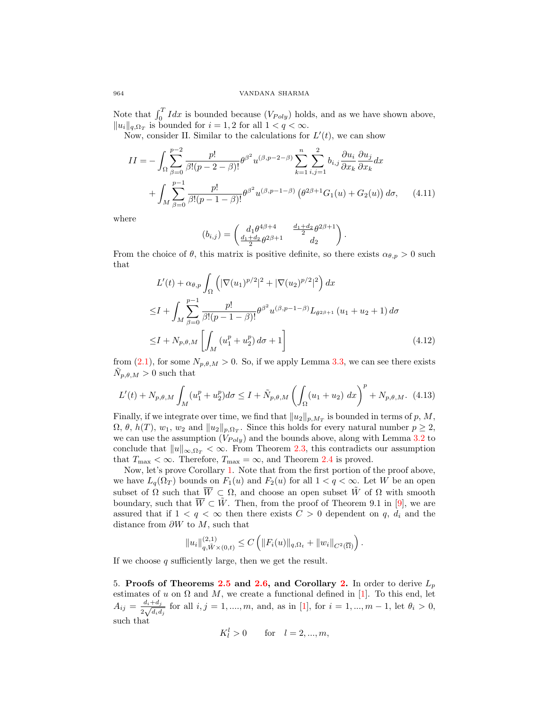Note that  $\int_0^T I dx$  is bounded because  $(V_{Poly})$  holds, and as we have shown above,  $||u_i||_{q,\Omega_T}$  is bounded for  $i = 1, 2$  for all  $1 < q < \infty$ .

Now, consider II. Similar to the calculations for  $L'(t)$ , we can show

$$
II = -\int_{\Omega} \sum_{\beta=0}^{p-2} \frac{p!}{\beta!(p-2-\beta)!} \theta^{\beta^2} u^{(\beta,p-2-\beta)} \sum_{k=1}^n \sum_{i,j=1}^2 b_{i,j} \frac{\partial u_i}{\partial x_k} \frac{\partial u_j}{\partial x_k} dx + \int_M \sum_{\beta=0}^{p-1} \frac{p!}{\beta!(p-1-\beta)!} \theta^{\beta^2} u^{(\beta,p-1-\beta)} \left(\theta^{2\beta+1} G_1(u) + G_2(u)\right) d\sigma, \quad (4.11)
$$

where

$$
(b_{i,j})=\begin{pmatrix}d_1\theta^{4\beta+4}&\frac{d_1+d_2}{2}\theta^{2\beta+1}\\ \frac{d_1+d_2}{2}\theta^{2\beta+1}&d_2\end{pmatrix}.
$$

From the choice of  $\theta$ , this matrix is positive definite, so there exists  $\alpha_{\theta,p} > 0$  such that

$$
L'(t) + \alpha_{\theta, p} \int_{\Omega} \left( |\nabla(u_1)^{p/2}|^2 + |\nabla(u_2)^{p/2}|^2 \right) dx
$$
  
\n
$$
\leq I + \int_M \sum_{\beta=0}^{p-1} \frac{p!}{\beta!(p-1-\beta)!} \theta^{\beta^2} u^{(\beta, p-1-\beta)} L_{\theta^{2\beta+1}}(u_1 + u_2 + 1) d\sigma
$$
  
\n
$$
\leq I + N_{p, \theta, M} \left[ \int_M (u_1^p + u_2^p) d\sigma + 1 \right]
$$
\n(4.12)

from (2.1), for some  $N_{p,\theta,M} > 0$ . So, if we apply Lemma 3.3, we can see there exists  $\tilde{N}_{p,\theta,M} > 0$  such that

$$
L'(t) + N_{p,\theta,M} \int_M (u_1^p + u_2^p) d\sigma \le I + \tilde{N}_{p,\theta,M} \left( \int_{\Omega} (u_1 + u_2) \, dx \right)^p + N_{p,\theta,M}. \tag{4.13}
$$

Finally, if we integrate over time, we find that  $||u_2||_{p,M_T}$  is bounded in terms of p, M,  $\Omega$ ,  $\theta$ ,  $h(T)$ ,  $w_1$ ,  $w_2$  and  $||u_2||_{p,\Omega_T}$ . Since this holds for every natural number  $p \geq 2$ , we can use the assumption  $(V_{Poly})$  and the bounds above, along with Lemma 3.2 to conclude that  $||u||_{\infty,\Omega_T} < \infty$ . From Theorem 2.3, this contradicts our assumption that  $T_{\text{max}} < \infty$ . Therefore,  $T_{\text{max}} = \infty$ , and Theorem 2.4 is proved.

Now, let's prove Corollary 1. Note that from the first portion of the proof above, we have  $L_q(\Omega_T)$  bounds on  $F_1(u)$  and  $F_2(u)$  for all  $1 < q < \infty$ . Let W be an open subset of  $\Omega$  such that  $\overline{W} \subset \Omega$ , and choose an open subset  $\tilde{W}$  of  $\Omega$  with smooth boundary, such that  $\overline{W} \subset \tilde{W}$ . Then, from the proof of Theorem 9.1 in [9], we are assured that if  $1 < q < \infty$  then there exists  $C > 0$  dependent on q,  $d_i$  and the distance from  $\partial W$  to  $M$ , such that

$$
||u_i||_{q,\tilde{W}(\0,t)}^{(2,1)} \leq C \left( ||F_i(u)||_{q,\Omega_t} + ||w_i||_{C^2(\overline{\Omega})} \right).
$$

If we choose  $q$  sufficiently large, then we get the result.

5. Proofs of Theorems 2.5 and 2.6, and Corollary 2. In order to derive  $L_p$ estimates of u on  $\Omega$  and M, we create a functional defined in [1]. To this end, let  $A_{ij} = \frac{d_i + d_j}{2 \sqrt{d_i d_j}}$  $\frac{a_i + a_j}{2\sqrt{d_i d_j}}$  for all  $i, j = 1, ..., m$ , and, as in [1], for  $i = 1, ..., m - 1$ , let  $\theta_i > 0$ , such that

$$
K_l^l > 0
$$
 for  $l = 2, ..., m$ ,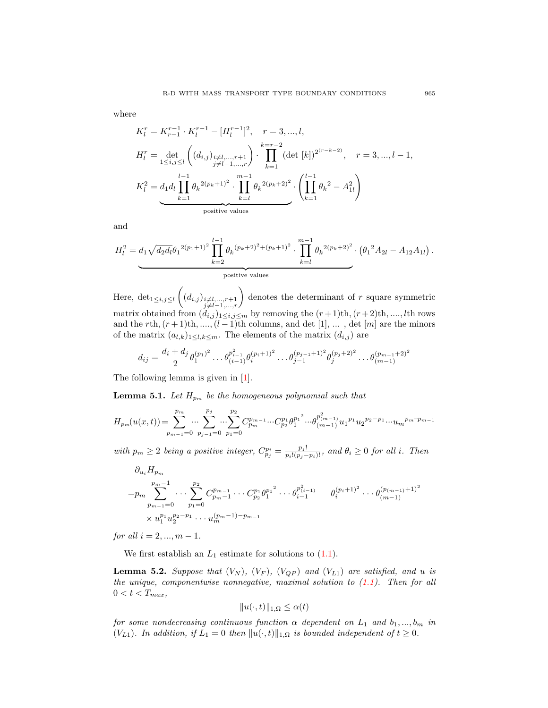where

$$
K_{l}^{r} = K_{r-1}^{r-1} \cdot K_{l}^{r-1} - [H_{l}^{r-1}]^{2}, \quad r = 3, ..., l,
$$
  
\n
$$
H_{l}^{r} = \det_{1 \leq i, j \leq l} \left( (d_{i,j})_{\substack{i \neq l, ..., r+1 \\ j \neq l-1, ..., r}} \right) \cdot \prod_{k=1}^{k=r-2} (\det [k])^{2^{(r-k-2)}}, \quad r = 3, ..., l-1,
$$
  
\n
$$
K_{l}^{2} = d_{1} d_{l} \prod_{k=1}^{l-1} \theta_{k}^{2(p_{k}+1)^{2}} \cdot \prod_{k=l}^{m-1} \theta_{k}^{2(p_{k}+2)^{2}} \cdot \left( \prod_{k=1}^{l-1} \theta_{k}^{2} - A_{1l}^{2} \right)
$$
  
\npositive values

and

$$
H_l^2 = d_1 \sqrt{d_2 d_l} \theta_1^{2(p_1+1)^2} \prod_{k=2}^{l-1} \theta_k^{(p_k+2)^2 + (p_k+1)^2} \cdot \prod_{k=l}^{m-1} \theta_k^{2(p_k+2)^2} \cdot (\theta_1^{2} A_{2l} - A_{12} A_{1l}).
$$
  
positive values

Here,  $\det_{1 \leq i,j \leq l} \left( (d_{i,j})_{i \neq l,...,r+1 \atop j \neq l-1,...,r} \right)$  denotes the determinant of r square symmetric matrix obtained from  $(d_{i,j})_{1\leq i,j\leq m}$  by removing the  $(r+1)$ th, $(r+2)$ th, ....,*l*th rows and the rth,  $(r+1)$ th, ...., $(l-1)$ th columns, and det [1], ..., det [m] are the minors of the matrix  $(a_{l,k})_{1\leq l,k\leq m}$ . The elements of the matrix  $(d_{i,j})$  are

$$
d_{ij} = \frac{d_i + d_j}{2} \theta_1^{(p_1)^2} \dots \theta_{(i-1)}^{p_{i-1}^2} \theta_i^{(p_i+1)^2} \dots \theta_{j-1}^{(p_{j-1}+1)^2} \theta_j^{(p_j+2)^2} \dots \theta_{(m-1)}^{(p_{m-1}+2)^2}
$$

The following lemma is given in [1].

**Lemma 5.1.** Let  $H_{p_m}$  be the homogeneous polynomial such that

$$
H_{p_m}(u(x,t))\!=\!\sum_{p_{m-1}=0}^{p_m}\!\cdots\!\sum_{p_{j-1}=0}^{p_j}\!\cdots\!\sum_{p_1=0}^{p_2}\!C_{p_m}^{p_{m-1}}\!\cdots\!C_{p_2}^{p_1}\theta_1^{p_1^{-2}}\!\cdots\theta_{(m-1)}^{p_{(m-1)}^2}u_1^{p_1}u_2^{p_2-p_1}\!\cdots\!u_m^{p_m-p_{m-1}}
$$

with  $p_m \geq 2$  being a positive integer,  $C_{p_j}^{p_i} = \frac{p_j!}{p_i!(p_j-p_i)!}$ , and  $\theta_i \geq 0$  for all i. Then

$$
\partial_{u_i} H_{p_m}
$$
\n
$$
= p_m \sum_{p_{m-1}=0}^{p_m-1} \cdots \sum_{p_1=0}^{p_2} C_{p_m-1}^{p_{m-1}} \cdots C_{p_2}^{p_1} {\theta_1^{p_1}}^2 \cdots {\theta_i^{p_{i-1}} \choose i-1} \qquad \theta_i^{(p_i+1)^2} \cdots \theta_{(m-1)}^{(p_{(m-1)}+1)^2}
$$
\n
$$
\times u_1^{p_1} u_2^{p_2-p_1} \cdots u_m^{(p_m-1)-p_{m-1}}
$$

for all  $i = 2, ..., m - 1$ .

We first establish an  $L_1$  estimate for solutions to  $(1.1)$ .

**Lemma 5.2.** Suppose that  $(V_N)$ ,  $(V_F)$ ,  $(V_{QP})$  and  $(V_{L1})$  are satisfied, and u is the unique, componentwise nonnegative, maximal solution to  $(1.1)$ . Then for all  $0 < t < T_{max}$ ,

$$
||u(\cdot,t)||_{1,\Omega} \leq \alpha(t)
$$

for some nondecreasing continuous function  $\alpha$  dependent on  $L_1$  and  $b_1, ..., b_m$  in  $(V_{L1})$ . In addition, if  $L_1 = 0$  then  $||u(\cdot, t)||_{1,\Omega}$  is bounded independent of  $t \geq 0$ .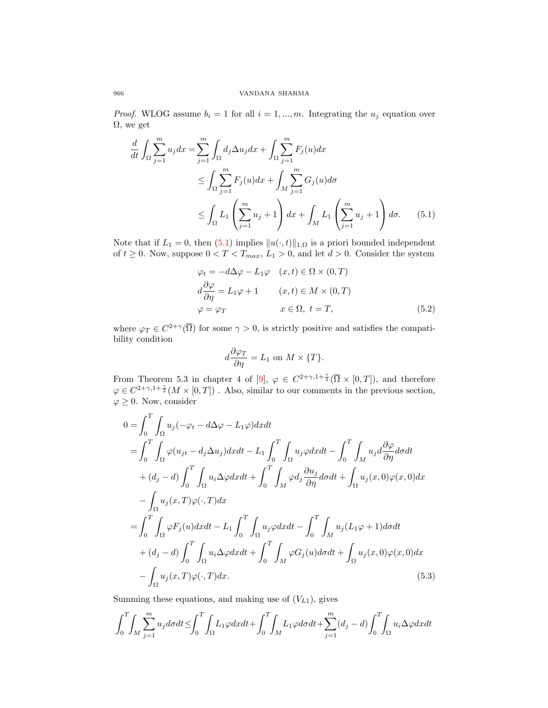*Proof.* WLOG assume  $b_i = 1$  for all  $i = 1, ..., m$ . Integrating the  $u_j$  equation over  $\Omega$ , we get

$$
\frac{d}{dt} \int_{\Omega} \sum_{j=1}^{m} u_j dx = \sum_{j=1}^{m} \int_{\Omega} d_j \Delta u_j dx + \int_{\Omega} \sum_{j=1}^{m} F_j(u) dx
$$
\n
$$
\leq \int_{\Omega} \sum_{j=1}^{m} F_j(u) dx + \int_{M} \sum_{j=1}^{m} G_j(u) d\sigma
$$
\n
$$
\leq \int_{\Omega} L_1 \left( \sum_{j=1}^{m} u_j + 1 \right) dx + \int_{M} L_1 \left( \sum_{j=1}^{m} u_j + 1 \right) d\sigma. \tag{5.1}
$$

Note that if  $L_1 = 0$ , then  $(5.1)$  implies  $||u(\cdot, t)||_{1,\Omega}$  is a priori bounded independent of  $t \geq 0$ . Now, suppose  $0 < T < T_{max}$ ,  $L_1 > 0$ , and let  $d > 0$ . Consider the system

$$
\varphi_t = -d\Delta\varphi - L_1\varphi \quad (x, t) \in \Omega \times (0, T)
$$
  

$$
d\frac{\partial\varphi}{\partial\eta} = L_1\varphi + 1 \qquad (x, t) \in M \times (0, T)
$$
  

$$
\varphi = \varphi_T \qquad x \in \Omega, \ t = T,
$$
 (5.2)

where  $\varphi_T \in C^{2+\gamma}(\overline{\Omega})$  for some  $\gamma > 0$ , is strictly positive and satisfies the compatibility condition

$$
d\frac{\partial \varphi_T}{\partial \eta} = L_1 \text{ on } M \times \{T\}.
$$

From Theorem 5.3 in chapter 4 of [9],  $\varphi \in C^{2+\gamma,1+\frac{\gamma}{2}}(\overline{\Omega} \times [0,T])$ , and therefore  $\varphi \in C^{2+\gamma, 1+\frac{\gamma}{2}}(M\times [0,T])$ . Also, similar to our comments in the previous section,  $\varphi \geq 0$ . Now, consider

$$
0 = \int_0^T \int_{\Omega} u_j(-\varphi_t - d\Delta\varphi - L_1\varphi) dx dt
$$
  
\n
$$
= \int_0^T \int_{\Omega} \varphi(u_{jt} - d_j\Delta u_j) dx dt - L_1 \int_0^T \int_{\Omega} u_j\varphi dx dt - \int_0^T \int_M u_j d\frac{\partial\varphi}{\partial\eta} d\sigma dt
$$
  
\n
$$
+ (d_j - d) \int_0^T \int_{\Omega} u_i\Delta\varphi dx dt + \int_0^T \int_M \varphi d_j \frac{\partial u_j}{\partial\eta} d\sigma dt + \int_{\Omega} u_j(x,0)\varphi(x,0) dx
$$
  
\n
$$
- \int_{\Omega} u_j(x,T)\varphi(\cdot,T) dx
$$
  
\n
$$
= \int_0^T \int_{\Omega} \varphi F_j(u) dx dt - L_1 \int_0^T \int_{\Omega} u_j\varphi dx dt - \int_0^T \int_M u_j(L_1\varphi + 1) d\sigma dt
$$
  
\n
$$
+ (d_j - d) \int_0^T \int_{\Omega} u_i\Delta\varphi dx dt + \int_0^T \int_M \varphi G_j(u) d\sigma dt + \int_{\Omega} u_j(x,0)\varphi(x,0) dx
$$
  
\n
$$
- \int_{\Omega} u_j(x,T)\varphi(\cdot,T) dx.
$$
  
\n(5.3)

Summing these equations, and making use of  $(V_{L1})$ , gives

$$
\int_0^T \int_M \sum_{j=1}^m u_j d\sigma dt \le \int_0^T \int_M L_1 \varphi dx dt + \int_0^T \int_M L_1 \varphi d\sigma dt + \sum_{j=1}^m (d_j - d) \int_0^T \int_M u_i \Delta \varphi dx dt
$$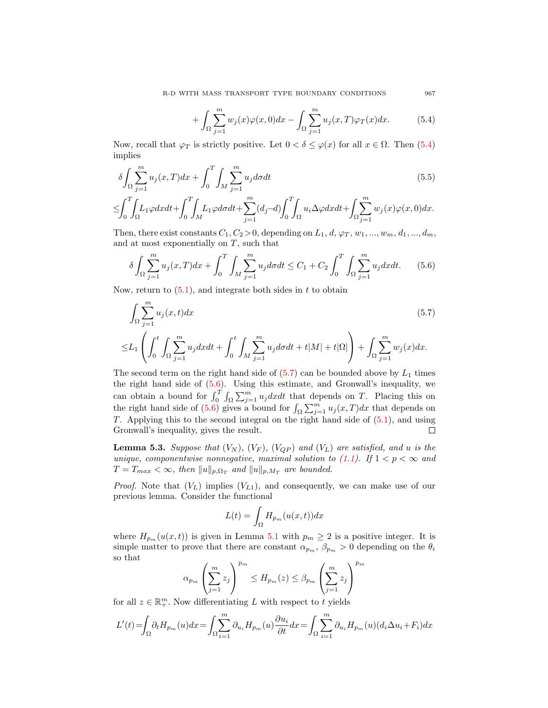R-D WITH MASS TRANSPORT TYPE BOUNDARY CONDITIONS 967

$$
+\int_{\Omega}\sum_{j=1}^{m}w_j(x)\varphi(x,0)dx-\int_{\Omega}\sum_{j=1}^{m}u_j(x,T)\varphi_T(x)dx.
$$
 (5.4)

Now, recall that  $\varphi_T$  is strictly positive. Let  $0 < \delta \leq \varphi(x)$  for all  $x \in \Omega$ . Then (5.4) implies

$$
\delta \int_{\Omega} \sum_{j=1}^{m} u_j(x, T) dx + \int_0^T \int_M \sum_{j=1}^{m} u_j d\sigma dt \tag{5.5}
$$

$$
\leq \int_0^T \int_{\Omega} L_1 \varphi dx dt + \int_0^T \int_M L_1 \varphi d\sigma dt + \sum_{j=1}^m (d_j - d) \int_0^T \int_{\Omega} u_i \Delta \varphi dx dt + \int_{\Omega} \sum_{j=1}^m w_j(x) \varphi(x, 0) dx.
$$

Then, there exist constants  $C_1, C_2 > 0$ , depending on  $L_1, d, \varphi_T, w_1, ..., w_m, d_1, ..., d_m$ , and at most exponentially on  $T$ , such that

$$
\delta \int_{\Omega} \sum_{j=1}^{m} u_j(x, T) dx + \int_0^T \int_M \sum_{j=1}^{m} u_j d\sigma dt \le C_1 + C_2 \int_0^T \int_{\Omega} \sum_{j=1}^{m} u_j dx dt. \tag{5.6}
$$

Now, return to  $(5.1)$ , and integrate both sides in t to obtain

$$
\int_{\Omega} \sum_{j=1}^{m} u_j(x, t) dx
$$
\n
$$
\leq L_1 \left( \int_0^t \int_{\Omega} \sum_{j=1}^m u_j dx dt + \int_0^t \int_M \sum_{j=1}^m u_j d\sigma dt + t |M| + t |\Omega| \right) + \int_{\Omega} \sum_{j=1}^m w_j(x) dx.
$$
\n(5.7)

The second term on the right hand side of  $(5.7)$  can be bounded above by  $L_1$  times the right hand side of (5.6). Using this estimate, and Gronwall's inequality, we can obtain a bound for  $\int_0^T \int_{\Omega} \sum_{j=1}^m u_j dx dt$  that depends on T. Placing this on the right hand side of (5.6) gives a bound for  $\int_{\Omega} \sum_{j=1}^{m} u_j(x, T) dx$  that depends on T. Applying this to the second integral on the right hand side of (5.1), and using Gronwall's inequality, gives the result. □

**Lemma 5.3.** Suppose that  $(V_N)$ ,  $(V_F)$ ,  $(V_{QP})$  and  $(V_L)$  are satisfied, and u is the unique, componentwise nonnegative, maximal solution to (1.1). If  $1 < p < \infty$  and  $T = T_{max} < \infty$ , then  $||u||_{p,\Omega_T}$  and  $||u||_{p,M_T}$  are bounded.

*Proof.* Note that  $(V_L)$  implies  $(V_{L1})$ , and consequently, we can make use of our previous lemma. Consider the functional

$$
L(t) = \int_{\Omega} H_{p_m}(u(x,t))dx
$$

where  $H_{p_m}(u(x,t))$  is given in Lemma 5.1 with  $p_m \geq 2$  is a positive integer. It is simple matter to prove that there are constant  $\alpha_{p_m}$ ,  $\beta_{p_m} > 0$  depending on the  $\theta_i$ so that  $\overline{m}$ 

$$
\alpha_{p_m} \left( \sum_{j=1}^m z_j \right)^{p_m} \le H_{p_m}(z) \le \beta_{p_m} \left( \sum_{j=1}^m z_j \right)^p
$$

for all  $z \in \mathbb{R}^m_+$ . Now differentiating L with respect to t yields

$$
L'(t) = \int_{\Omega} \partial_t H_{p_m}(u) dx = \int_{\Omega} \sum_{i=1}^m \partial_{u_i} H_{p_m}(u) \frac{\partial u_i}{\partial t} dx = \int_{\Omega} \sum_{i=1}^m \partial_{u_i} H_{p_m}(u) (d_i \Delta u_i + F_i) dx
$$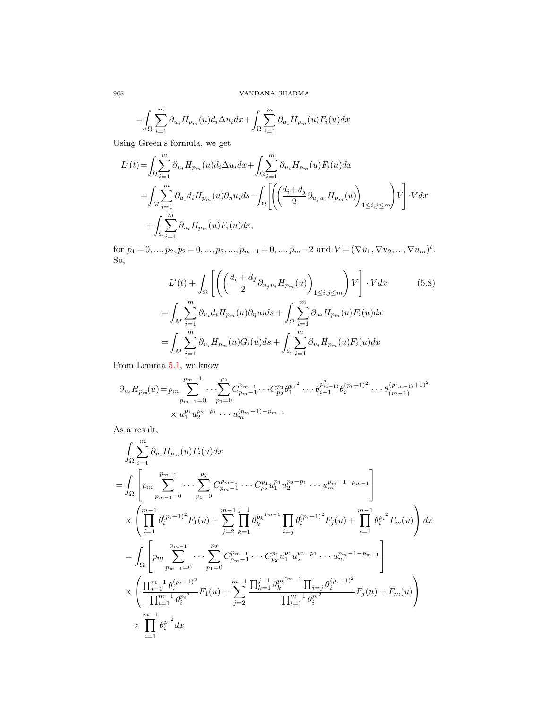$$
=\!\int_{\Omega}\sum_{i=1}^m \partial_{u_i} H_{p_m}(u)d_i\Delta u_i dx\!+\!\int_{\Omega}\sum_{i=1}^m \partial_{u_i} H_{p_m}(u)F_i(u)dx
$$

Using Green's formula, we get

$$
L'(t) = \int_{\Omega} \sum_{i=1}^{m} \partial_{u_i} H_{p_m}(u) d_i \Delta u_i dx + \int_{\Omega} \sum_{i=1}^{m} \partial_{u_i} H_{p_m}(u) F_i(u) dx
$$
  
= 
$$
\int_{M} \sum_{i=1}^{m} \partial_{u_i} d_i H_{p_m}(u) \partial_{\eta} u_i ds - \int_{\Omega} \left[ \left( \frac{d_i + d_j}{2} \partial_{u_j u_i} H_{p_m}(u) \right)_{1 \le i,j \le m} \right) V \right] \cdot V dx
$$
  
+ 
$$
\int_{\Omega} \sum_{i=1}^{m} \partial_{u_i} H_{p_m}(u) F_i(u) dx,
$$

for  $p_1 = 0, ..., p_2, p_2 = 0, ..., p_3, ..., p_{m-1} = 0, ..., p_m-2$  and  $V = (\nabla u_1, \nabla u_2, ..., \nabla u_m)^t$ . So,

$$
L'(t) + \int_{\Omega} \left[ \left( \left( \frac{d_i + d_j}{2} \partial_{u_j u_i} H_{p_m}(u) \right)_{1 \le i,j \le m} \right) V \right] \cdot V dx \qquad (5.8)
$$

$$
= \int_M \sum_{i=1}^m \partial_{u_i} d_i H_{p_m}(u) \partial_{\eta} u_i ds + \int_{\Omega} \sum_{i=1}^m \partial_{u_i} H_{p_m}(u) F_i(u) dx
$$

$$
= \int_M \sum_{i=1}^m \partial_{u_i} H_{p_m}(u) G_i(u) ds + \int_{\Omega} \sum_{i=1}^m \partial_{u_i} H_{p_m}(u) F_i(u) dx
$$

From Lemma 5.1, we know

$$
\partial_{u_i} H_{p_m}(u) = p_m \sum_{p_{m-1}=0}^{p_m-1} \cdots \sum_{p_1=0}^{p_2} C_{p_m-1}^{p_{m-1}} \cdots C_{p_2}^{p_1} {\theta_1^{p_1}}^2 \cdots {\theta_{i-1}^{p_{(i-1)}} \theta_i^{(p_i+1)^2}} \cdots {\theta_{(m-1)}^{(p_{(m-1)}+1)^2}}
$$
  
 
$$
\times u_1^{p_1} u_2^{p_2-p_1} \cdots u_m^{(p_m-1)-p_{m-1}}
$$

As a result,

$$
\int_{\Omega} \sum_{i=1}^{m} \partial_{u_i} H_{p_m}(u) F_i(u) dx
$$
\n=
$$
\int_{\Omega} \left[ p_m \sum_{p_{m-1}=0}^{p_{m-1}} \cdots \sum_{p_1=0}^{p_2} C_{p_m-1}^{p_{m-1}} \cdots C_{p_2}^{p_1} u_1^{p_1} u_2^{p_2-p_1} \cdots u_m^{p_m-1-p_{m-1}} \right]
$$
\n
$$
\times \left( \prod_{i=1}^{m-1} \theta_i^{(p_i+1)^2} F_1(u) + \sum_{j=2}^{m-1} \prod_{k=1}^{j-1} \theta_k^{p_k^{2m-1}} \prod_{i=j} \theta_i^{(p_i+1)^2} F_j(u) + \prod_{i=1}^{m-1} \theta_i^{p_i^2} F_m(u) \right) dx
$$
\n=
$$
\int_{\Omega} \left[ p_m \sum_{p_{m-1}=0}^{p_{m-1}} \cdots \sum_{p_1=0}^{p_2} C_{p_{m-1}}^{p_{m-1}} \cdots C_{p_2}^{p_1} u_1^{p_1} u_2^{p_2-p_1} \cdots u_m^{p_m-1-p_{m-1}} \right]
$$
\n
$$
\times \left( \prod_{\substack{i=1 \ i=1 \ i \neq i}}^{m-1} \theta_i^{(p_i+1)^2} F_1(u) + \sum_{j=2}^{m-1} \prod_{k=1}^{j-1} \theta_k^{p_k^{2m-1}} \prod_{i=j} \theta_i^{(p_i+1)^2} F_j(u) + F_m(u) \right)
$$
\n
$$
\times \prod_{i=1}^{m-1} \theta_i^{p_i^2} dx
$$
\n*i=1*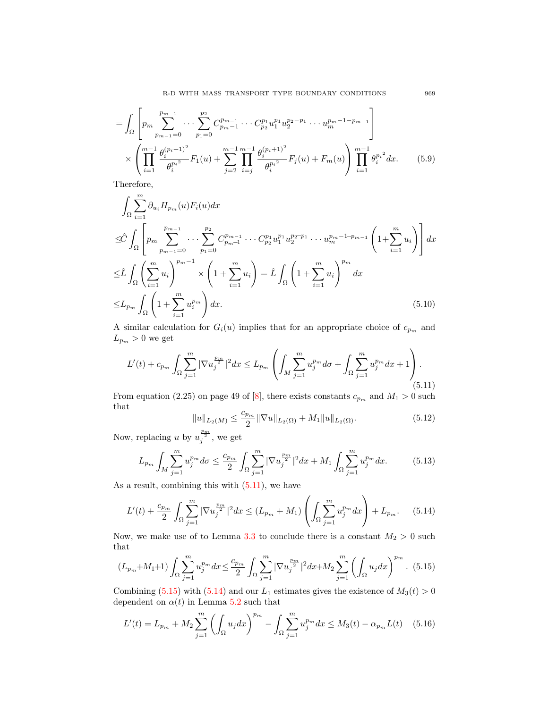$$
= \int_{\Omega} \left[ p_m \sum_{p_{m-1}=0}^{p_{m-1}} \cdots \sum_{p_1=0}^{p_2} C_{p_m-1}^{p_{m-1}} \cdots C_{p_2}^{p_1} u_1^{p_1} u_2^{p_2-p_1} \cdots u_m^{p_m-1-p_{m-1}} \right] \times \left( \prod_{i=1}^{m-1} \frac{\theta_i^{(p_i+1)^2}}{\theta_i^{p_i^2}} F_1(u) + \sum_{j=2}^{m-1} \prod_{i=j}^{m-1} \frac{\theta_i^{(p_i+1)^2}}{\theta_i^{p_i^2}} F_j(u) + F_m(u) \right) \prod_{i=1}^{m-1} \theta_i^{p_i^2} dx. \tag{5.9}
$$

Therefore,

$$
\int_{\Omega} \sum_{i=1}^{m} \partial_{u_i} H_{p_m}(u) F_i(u) dx
$$
\n
$$
\leq \hat{C} \int_{\Omega} \left[ p_m \sum_{p_{m-1}=0}^{p_{m-1}} \cdots \sum_{p_1=0}^{p_2} C_{p_{m-1}}^{p_{m-1}} \cdots C_{p_2}^{p_1} u_1^{p_1} u_2^{p_2 - p_1} \cdots u_m^{p_m - 1 - p_{m-1}} \left( 1 + \sum_{i=1}^{m} u_i \right) \right] dx
$$
\n
$$
\leq \hat{L} \int_{\Omega} \left( \sum_{i=1}^{m} u_i \right)^{p_m - 1} \times \left( 1 + \sum_{i=1}^{m} u_i \right) = \hat{L} \int_{\Omega} \left( 1 + \sum_{i=1}^{m} u_i \right)^{p_m} dx
$$
\n
$$
\leq L_{p_m} \int_{\Omega} \left( 1 + \sum_{i=1}^{m} u_i^{p_m} \right) dx.
$$
\n(5.10)

A similar calculation for  $G_i(u)$  implies that for an appropriate choice of  $c_{p_m}$  and  $L_{p_m} > 0$  we get

$$
L'(t) + c_{p_m} \int_{\Omega} \sum_{j=1}^m |\nabla u_j^{\frac{p_m}{2}}|^2 dx \le L_{p_m} \left( \int_M \sum_{j=1}^m u_j^{p_m} d\sigma + \int_{\Omega} \sum_{j=1}^m u_j^{p_m} dx + 1 \right). \tag{5.11}
$$

From equation (2.25) on page 49 of [8], there exists constants  $c_{p_m}$  and  $M_1 > 0$  such that

$$
||u||_{L_2(M)} \le \frac{c_{p_m}}{2} ||\nabla u||_{L_2(\Omega)} + M_1 ||u||_{L_2(\Omega)}.
$$
\n(5.12)

Now, replacing u by  $u_j^{\frac{p_m}{2}}$ , we get

$$
L_{p_m} \int_M \sum_{j=1}^m u_j^{p_m} d\sigma \le \frac{c_{p_m}}{2} \int_\Omega \sum_{j=1}^m |\nabla u_j^{p_m}|^2 dx + M_1 \int_\Omega \sum_{j=1}^m u_j^{p_m} dx. \tag{5.13}
$$

As a result, combining this with  $(5.11)$ , we have

$$
L'(t) + \frac{c_{p_m}}{2} \int_{\Omega} \sum_{j=1}^m |\nabla u_j^{\frac{p_m}{2}}|^2 dx \le (L_{p_m} + M_1) \left( \int_{\Omega} \sum_{j=1}^m u_j^{p_m} dx \right) + L_{p_m}.
$$
 (5.14)

Now, we make use of to Lemma 3.3 to conclude there is a constant  $M_2 > 0$  such that

$$
(L_{p_m} + M_1 + 1) \int_{\Omega} \sum_{j=1}^{m} u_j^{p_m} dx \le \frac{c_{p_m}}{2} \int_{\Omega} \sum_{j=1}^{m} |\nabla u_j^{\frac{p_m}{2}}|^2 dx + M_2 \sum_{j=1}^{m} \left( \int_{\Omega} u_j dx \right)^{p_m} .
$$
 (5.15)

Combining (5.15) with (5.14) and our  $L_1$  estimates gives the existence of  $M_3(t) > 0$ dependent on  $\alpha(t)$  in Lemma 5.2 such that

$$
L'(t) = L_{p_m} + M_2 \sum_{j=1}^{m} \left( \int_{\Omega} u_j dx \right)^{p_m} - \int_{\Omega} \sum_{j=1}^{m} u_j^{p_m} dx \le M_3(t) - \alpha_{p_m} L(t) \quad (5.16)
$$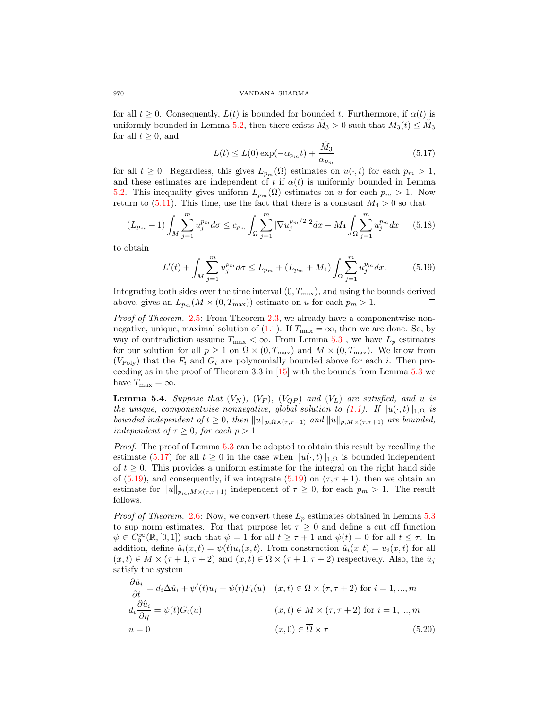for all  $t \geq 0$ . Consequently,  $L(t)$  is bounded for bounded t. Furthermore, if  $\alpha(t)$  is uniformly bounded in Lemma 5.2, then there exists  $\tilde{M}_3 > 0$  such that  $M_3(t) \leq \tilde{M}_3$ for all  $t \geq 0$ , and

$$
L(t) \le L(0) \exp(-\alpha_{p_m} t) + \frac{\tilde{M}_3}{\alpha_{p_m}} \tag{5.17}
$$

for all  $t \geq 0$ . Regardless, this gives  $L_{p_m}(\Omega)$  estimates on  $u(\cdot, t)$  for each  $p_m > 1$ , and these estimates are independent of t if  $\alpha(t)$  is uniformly bounded in Lemma 5.2. This inequality gives uniform  $L_{p_m}(\Omega)$  estimates on u for each  $p_m > 1$ . Now return to  $(5.11)$ . This time, use the fact that there is a constant  $M_4 > 0$  so that

$$
(L_{p_m} + 1) \int_M \sum_{j=1}^m u_j^{p_m} d\sigma \le c_{p_m} \int_M \sum_{j=1}^m |\nabla u_j^{p_m/2}|^2 dx + M_4 \int_M \sum_{j=1}^m u_j^{p_m} dx \qquad (5.18)
$$

to obtain

$$
L'(t) + \int_M \sum_{j=1}^m u_j^{p_m} d\sigma \le L_{p_m} + (L_{p_m} + M_4) \int_\Omega \sum_{j=1}^m u_j^{p_m} dx.
$$
 (5.19)

Integrating both sides over the time interval  $(0, T_{\text{max}})$ , and using the bounds derived above, gives an  $L_{p_m}(M \times (0, T_{\text{max}}))$  estimate on u for each  $p_m > 1$ .  $\Box$ 

Proof of Theorem. 2.5: From Theorem 2.3, we already have a componentwise nonnegative, unique, maximal solution of (1.1). If  $T_{\text{max}} = \infty$ , then we are done. So, by way of contradiction assume  $T_{\text{max}} < \infty$ . From Lemma 5.3, we have  $L_p$  estimates for our solution for all  $p \ge 1$  on  $\Omega \times (0, T_{\text{max}})$  and  $M \times (0, T_{\text{max}})$ . We know from  $(V_{\text{Poly}})$  that the  $F_i$  and  $G_i$  are polynomially bounded above for each i. Then proceeding as in the proof of Theorem 3.3 in  $[15]$  with the bounds from Lemma 5.3 we have  $T_{\text{max}} = \infty$ .  $\Box$ 

**Lemma 5.4.** Suppose that  $(V_N)$ ,  $(V_F)$ ,  $(V_{QP})$  and  $(V_L)$  are satisfied, and u is the unique, componentwise nonnegative, global solution to (1.1). If  $||u(\cdot, t)||_{1,\Omega}$  is bounded independent of  $t \geq 0$ , then  $||u||_{p,\Omega\times(\tau,\tau+1)}$  and  $||u||_{p,M\times(\tau,\tau+1)}$  are bounded, independent of  $\tau \geq 0$ , for each  $p > 1$ .

Proof. The proof of Lemma 5.3 can be adopted to obtain this result by recalling the estimate (5.17) for all  $t \geq 0$  in the case when  $||u(\cdot, t)||_{1,\Omega}$  is bounded independent of  $t \geq 0$ . This provides a uniform estimate for the integral on the right hand side of (5.19), and consequently, if we integrate (5.19) on  $(\tau, \tau + 1)$ , then we obtain an estimate for  $||u||_{p_m,M\times(\tau,\tau+1)}$  independent of  $\tau \geq 0$ , for each  $p_m > 1$ . The result follows. follows.

*Proof of Theorem.* 2.6: Now, we convert these  $L_p$  estimates obtained in Lemma 5.3 to sup norm estimates. For that purpose let  $\tau \geq 0$  and define a cut off function  $\psi \in C_0^{\infty}(\mathbb{R}, [0, 1])$  such that  $\psi = 1$  for all  $t \ge \tau + 1$  and  $\psi(t) = 0$  for all  $t \le \tau$ . In addition, define  $\hat{u}_i(x,t) = \psi(t)u_i(x,t)$ . From construction  $\hat{u}_i(x,t) = u_i(x,t)$  for all  $(x, t) \in M \times (\tau + 1, \tau + 2)$  and  $(x, t) \in \Omega \times (\tau + 1, \tau + 2)$  respectively. Also, the  $\hat{u}_i$ satisfy the system

$$
\frac{\partial \hat{u}_i}{\partial t} = d_i \Delta \hat{u}_i + \psi'(t) u_j + \psi(t) F_i(u) \quad (x, t) \in \Omega \times (\tau, \tau + 2) \text{ for } i = 1, ..., m
$$
  

$$
d_i \frac{\partial \hat{u}_i}{\partial \eta} = \psi(t) G_i(u) \qquad (x, t) \in M \times (\tau, \tau + 2) \text{ for } i = 1, ..., m
$$
  

$$
u = 0 \qquad (x, 0) \in \overline{\Omega} \times \tau \qquad (5.20)
$$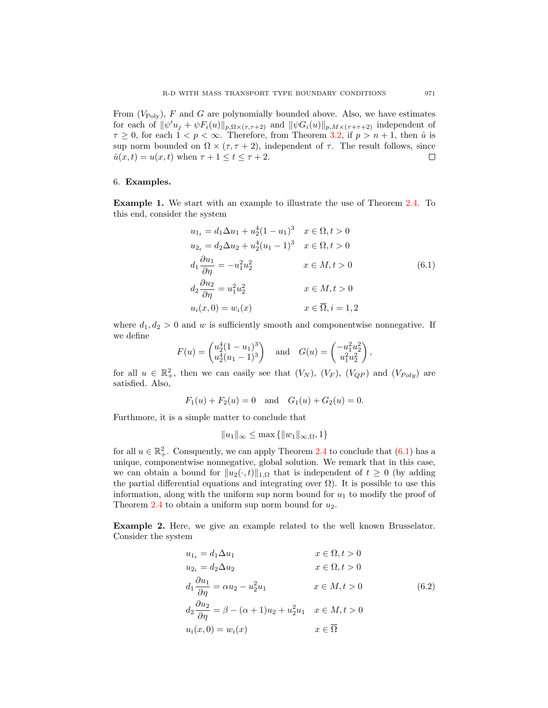From  $(V_{\text{Poly}})$ , F and G are polynomially bounded above. Also, we have estimates for each of  $\|\psi'u_j + \psi F_i(u)\|_{p,\Omega\times(\tau,\tau+2)}$  and  $\|\psi G_i(u)\|_{p,M\times(\tau+\tau+2)}$  independent of  $\tau \geq 0$ , for each  $1 \leq p \leq \infty$ . Therefore, from Theorem 3.2, if  $p > n + 1$ , then  $\hat{u}$  is sup norm bounded on  $\Omega \times (\tau, \tau + 2)$ , independent of  $\tau$ . The result follows, since  $\hat{u}(x, t) = u(x, t)$  when  $\tau + 1 \le t \le \tau + 2$ .  $\hat{u}(x,t) = u(x,t)$  when  $\tau + 1 \le t \le \tau + 2$ .

## 6. Examples.

Example 1. We start with an example to illustrate the use of Theorem 2.4. To this end, consider the system

$$
u_{1_t} = d_1 \Delta u_1 + u_2^4 (1 - u_1)^3 \t x \in \Omega, t > 0
$$
  
\n
$$
u_{2t} = d_2 \Delta u_2 + u_2^4 (u_1 - 1)^3 \t x \in \Omega, t > 0
$$
  
\n
$$
d_1 \frac{\partial u_1}{\partial \eta} = -u_1^2 u_2^2 \t x \in M, t > 0
$$
  
\n
$$
d_2 \frac{\partial u_2}{\partial \eta} = u_1^2 u_2^2 \t x \in M, t > 0
$$
  
\n
$$
u_i(x, 0) = w_i(x) \t x \in \overline{\Omega}, i = 1, 2
$$
  
\n(6.1)

where  $d_1, d_2 > 0$  and w is sufficiently smooth and componentwise nonnegative. If we define

$$
F(u) = \begin{pmatrix} u_2^4 (1 - u_1)^3 \\ u_2^4 (u_1 - 1)^3 \end{pmatrix} \text{ and } G(u) = \begin{pmatrix} -u_1^2 u_2^2 \\ u_1^2 u_2^2 \end{pmatrix},
$$

for all  $u \in \mathbb{R}^2_+$ , then we can easily see that  $(V_N)$ ,  $(V_F)$ ,  $(V_{QP})$  and  $(V_{Poly})$  are satisfied. Also,

$$
F_1(u) + F_2(u) = 0
$$
 and  $G_1(u) + G_2(u) = 0$ .

Furthmore, it is a simple matter to conclude that

$$
||u_1||_{\infty} \le \max{||w_1||_{\infty,\Omega}, 1}
$$

for all  $u \in \mathbb{R}^2_+$ . Consquently, we can apply Theorem 2.4 to conclude that  $(6.1)$  has a unique, componentwise nonnegative, global solution. We remark that in this case, we can obtain a bound for  $||u_2(\cdot, t)||_{1,\Omega}$  that is independent of  $t \geq 0$  (by adding the partial differential equations and integrating over  $\Omega$ ). It is possible to use this information, along with the uniform sup norm bound for  $u_1$  to modify the proof of Theorem 2.4 to obtain a uniform sup norm bound for  $u_2$ .

Example 2. Here, we give an example related to the well known Brusselator. Consider the system

$$
u_{1t} = d_1 \Delta u_1 \qquad x \in \Omega, t > 0
$$
  
\n
$$
u_{2t} = d_2 \Delta u_2 \qquad x \in \Omega, t > 0
$$
  
\n
$$
d_1 \frac{\partial u_1}{\partial \eta} = \alpha u_2 - u_2^2 u_1 \qquad x \in M, t > 0
$$
  
\n
$$
d_2 \frac{\partial u_2}{\partial \eta} = \beta - (\alpha + 1)u_2 + u_2^2 u_1 \qquad x \in M, t > 0
$$
  
\n
$$
u_i(x, 0) = w_i(x) \qquad x \in \overline{\Omega}
$$
  
\n(6.2)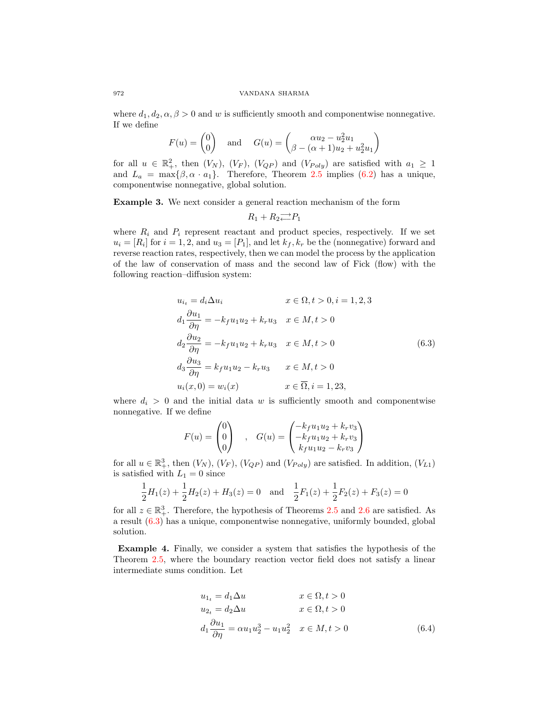where  $d_1, d_2, \alpha, \beta > 0$  and w is sufficiently smooth and componentwise nonnegative. If we define

$$
F(u) = \begin{pmatrix} 0 \\ 0 \end{pmatrix} \quad \text{and} \quad G(u) = \begin{pmatrix} \alpha u_2 - u_2^2 u_1 \\ \beta - (\alpha + 1)u_2 + u_2^2 u_1 \end{pmatrix}
$$

for all  $u \in \mathbb{R}^2_+$ , then  $(V_N)$ ,  $(V_F)$ ,  $(V_{QP})$  and  $(V_{Poly})$  are satisfied with  $a_1 \geq 1$ and  $L_a = \max{\beta, \alpha \cdot a_1}$ . Therefore, Theorem 2.5 implies (6.2) has a unique, componentwise nonnegative, global solution.

Example 3. We next consider a general reaction mechanism of the form

$$
R_1 + R_2 \overrightarrow{P_1}
$$

where  $R_i$  and  $P_i$  represent reactant and product species, respectively. If we set  $u_i = [R_i]$  for  $i = 1, 2$ , and  $u_3 = [P_1]$ , and let  $k_f, k_r$  be the (nonnegative) forward and reverse reaction rates, respectively, then we can model the process by the application of the law of conservation of mass and the second law of Fick (flow) with the following reaction–diffusion system:

$$
u_{i_t} = d_i \Delta u_i \qquad x \in \Omega, t > 0, i = 1, 2, 3
$$
  
\n
$$
d_1 \frac{\partial u_1}{\partial \eta} = -k_f u_1 u_2 + k_r u_3 \qquad x \in M, t > 0
$$
  
\n
$$
d_2 \frac{\partial u_2}{\partial \eta} = -k_f u_1 u_2 + k_r u_3 \qquad x \in M, t > 0
$$
  
\n
$$
d_3 \frac{\partial u_3}{\partial \eta} = k_f u_1 u_2 - k_r u_3 \qquad x \in M, t > 0
$$
  
\n
$$
u_i(x, 0) = w_i(x) \qquad x \in \overline{\Omega}, i = 1, 23,
$$
\n
$$
(6.3)
$$

where  $d_i > 0$  and the initial data w is sufficiently smooth and componentwise nonnegative. If we define

$$
F(u) = \begin{pmatrix} 0 \\ 0 \\ 0 \end{pmatrix} , G(u) = \begin{pmatrix} -k_f u_1 u_2 + k_r v_3 \\ -k_f u_1 u_2 + k_r v_3 \\ k_f u_1 u_2 - k_r v_3 \end{pmatrix}
$$

for all  $u \in \mathbb{R}^3_+$ , then  $(V_N)$ ,  $(V_F)$ ,  $(V_{QP})$  and  $(V_{Poly})$  are satisfied. In addition,  $(V_{L1})$ is satisfied with  $L_1 = 0$  since

$$
\frac{1}{2}H_1(z) + \frac{1}{2}H_2(z) + H_3(z) = 0 \text{ and } \frac{1}{2}F_1(z) + \frac{1}{2}F_2(z) + F_3(z) = 0
$$

for all  $z \in \mathbb{R}^3_+$ . Therefore, the hypothesis of Theorems 2.5 and 2.6 are satisfied. As a result (6.3) has a unique, componentwise nonnegative, uniformly bounded, global solution.

Example 4. Finally, we consider a system that satisfies the hypothesis of the Theorem 2.5, where the boundary reaction vector field does not satisfy a linear intermediate sums condition. Let

$$
u_{1_t} = d_1 \Delta u \qquad x \in \Omega, t > 0
$$
  
\n
$$
u_{2_t} = d_2 \Delta u \qquad x \in \Omega, t > 0
$$
  
\n
$$
d_1 \frac{\partial u_1}{\partial \eta} = \alpha u_1 u_2^3 - u_1 u_2^2 \qquad x \in M, t > 0
$$
\n(6.4)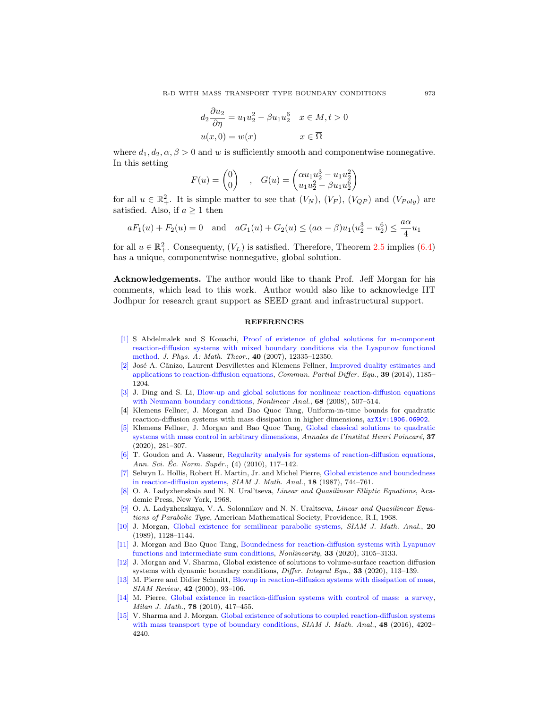$$
d_2 \frac{\partial u_2}{\partial \eta} = u_1 u_2^2 - \beta u_1 u_2^6 \quad x \in M, t > 0
$$
  

$$
u(x, 0) = w(x) \qquad x \in \overline{\Omega}
$$

where  $d_1, d_2, \alpha, \beta > 0$  and w is sufficiently smooth and componentwise nonnegative. In this setting

$$
F(u) = \begin{pmatrix} 0 \\ 0 \end{pmatrix} , G(u) = \begin{pmatrix} \alpha u_1 u_2^3 - u_1 u_2^2 \\ u_1 u_2^2 - \beta u_1 u_2^6 \end{pmatrix}
$$

for all  $u \in \mathbb{R}^2_+$ . It is simple matter to see that  $(V_N)$ ,  $(V_F)$ ,  $(V_{QP})$  and  $(V_{Poly})$  are satisfied. Also, if  $a \geq 1$  then

$$
aF_1(u) + F_2(u) = 0
$$
 and  $aG_1(u) + G_2(u) \leq (a\alpha - \beta)u_1(u_2^3 - u_2^6) \leq \frac{a\alpha}{4}u_1$ 

for all  $u \in \mathbb{R}^2_+$ . Consequenty,  $(V_L)$  is satisfied. Therefore, Theorem 2.5 implies (6.4) has a unique, componentwise nonnegative, global solution.

Acknowledgements. The author would like to thank Prof. Jeff Morgan for his comments, which lead to this work. Author would also like to acknowledge IIT Jodhpur for research grant support as SEED grant and infrastructural support.

### REFERENCES

- [1] S Abdelmalek and S Kouachi, Proof of existence of global solutions for m-component reaction-diffusion systems with mixed boundary conditions via the Lyapunov functional method, J. Phys. A: Math. Theor., 40 (2007), 12335–12350.
- [2] José A. Cãnizo, Laurent Desvillettes and Klemens Fellner, Improved duality estimates and applications to reaction-diffusion equations, Commun. Partial Differ. Equ., 39 (2014), 1185– 1204.
- [3] J. Ding and S. Li, Blow-up and global solutions for nonlinear reaction-diffusion equations with Neumann boundary conditions, *Nonlinear Anal.*, **68** (2008), 507–514.
- [4] Klemens Fellner, J. Morgan and Bao Quoc Tang, Uniform-in-time bounds for quadratic reaction-diffusion systems with mass dissipation in higher dimensions, arXiv:1906.06902.
- [5] Klemens Fellner, J. Morgan and Bao Quoc Tang, Global classical solutions to quadratic systems with mass control in arbitrary dimensions, Annales de l'Institut Henri Poincaré, 37 (2020), 281–307.
- [6] T. Goudon and A. Vasseur, Regularity analysis for systems of reaction-diffusion equations, Ann. Sci. Ec. Norm. Supér.,  $(4)$   $(2010)$ , 117–142.
- [7] Selwyn L. Hollis, Robert H. Martin, Jr. and Michel Pierre, Global existence and boundedness in reaction-diffusion systems, SIAM J. Math. Anal., 18 (1987), 744–761.
- [8] O. A. Ladyzhenskaia and N. N. Ural'tseva, Linear and Quasilinear Elliptic Equations, Academic Press, New York, 1968.
- [9] O. A. Ladyzhenskaya, V. A. Solonnikov and N. N. Uraltseva, Linear and Quasilinear Equations of Parabolic Type, American Mathematical Society, Providence, R.I, 1968.
- [10] J. Morgan, Global existence for semilinear parabolic systems, SIAM J. Math. Anal., 20 (1989), 1128–1144.
- [11] J. Morgan and Bao Quoc Tang, Boundedness for reaction-diffusion systems with Lyapunov functions and intermediate sum conditions, Nonlinearity, 33 (2020), 3105–3133.
- [12] J. Morgan and V. Sharma, Global existence of solutions to volume-surface reaction diffusion systems with dynamic boundary conditions, *Differ. Integral Equ.*, 33 (2020), 113–139.
- [13] M. Pierre and Didier Schmitt, Blowup in reaction-diffusion systems with dissipation of mass, SIAM Review, 42 (2000), 93–106.
- [14] M. Pierre, Global existence in reaction-diffusion systems with control of mass: a survey, Milan J. Math., 78 (2010), 417–455.
- [15] V. Sharma and J. Morgan, Global existence of solutions to coupled reaction-diffusion systems with mass transport type of boundary conditions, SIAM J. Math. Anal., 48 (2016), 4202-4240.